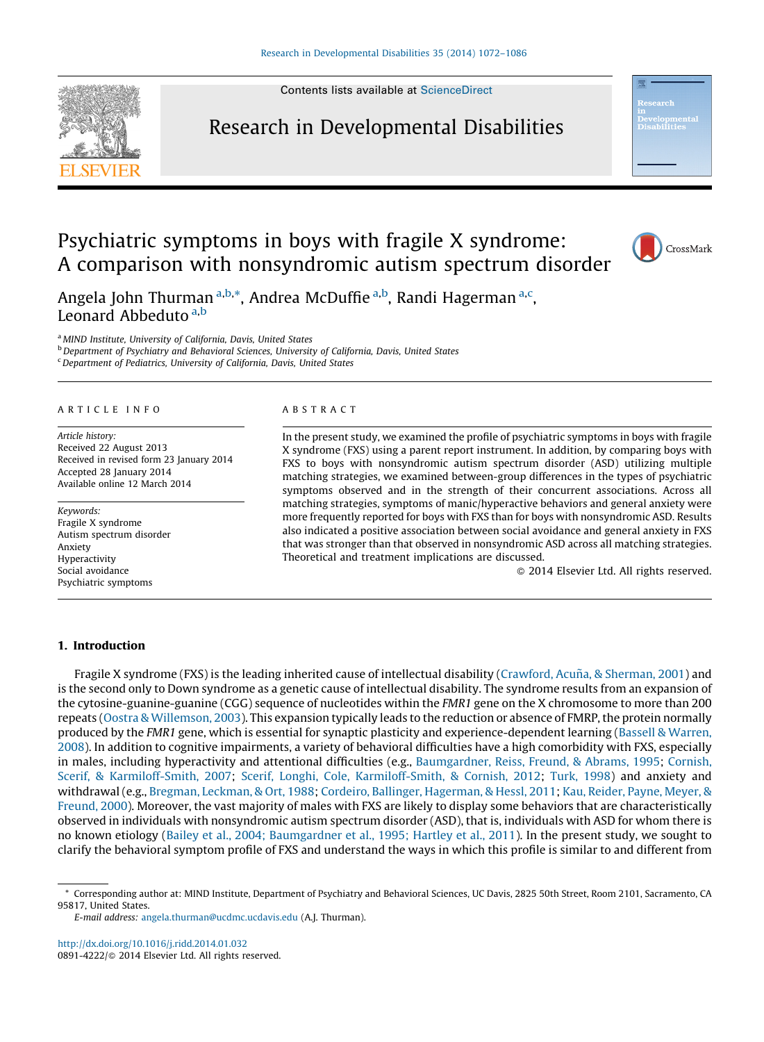Contents lists available at [ScienceDirect](http://www.sciencedirect.com/science/journal/08914222)

# Research in Developmental Disabilities



# Psychiatric symptoms in boys with fragile X syndrome: A comparison with nonsyndromic autism spectrum disorder



Angela John Thurman <sup>a,b,\*</sup>, Andrea McDuffie <sup>a,b</sup>, Randi Hagerman <sup>a,c</sup>, Leonard Abbeduto<sup>a,b</sup>

<sup>a</sup> MIND Institute, University of California, Davis, United States

**b** Department of Psychiatry and Behavioral Sciences, University of California, Davis, United States <sup>c</sup> Department of Pediatrics, University of California, Davis, United States

## A R T I C L E I N F O

Article history: Received 22 August 2013 Received in revised form 23 January 2014 Accepted 28 January 2014 Available online 12 March 2014

Keywords: Fragile X syndrome Autism spectrum disorder Anxiety Hyperactivity Social avoidance Psychiatric symptoms

## A B S T R A C T

In the present study, we examined the profile of psychiatric symptoms in boys with fragile X syndrome (FXS) using a parent report instrument. In addition, by comparing boys with FXS to boys with nonsyndromic autism spectrum disorder (ASD) utilizing multiple matching strategies, we examined between-group differences in the types of psychiatric symptoms observed and in the strength of their concurrent associations. Across all matching strategies, symptoms of manic/hyperactive behaviors and general anxiety were more frequently reported for boys with FXS than for boys with nonsyndromic ASD. Results also indicated a positive association between social avoidance and general anxiety in FXS that was stronger than that observed in nonsyndromic ASD across all matching strategies. Theoretical and treatment implications are discussed.

- 2014 Elsevier Ltd. All rights reserved.

# 1. Introduction

Fragile X syndrome (FXS) is the leading inherited cause of intellectual disability [\(Crawford,](#page-13-0) Acuña, & Sherman, 2001) and is the second only to Down syndrome as a genetic cause of intellectual disability. The syndrome results from an expansion of the cytosine-guanine-guanine (CGG) sequence of nucleotides within the FMR1 gene on the X chromosome to more than 200 repeats (Oostra & [Willemson,](#page-13-0) 2003). This expansion typically leads to the reduction or absence of FMRP, the protein normally produced by the FMR1 gene, which is essential for synaptic plasticity and experience-dependent learning (Bassell & [Warren,](#page-12-0) [2008](#page-12-0)). In addition to cognitive impairments, a variety of behavioral difficulties have a high comorbidity with FXS, especially in males, including hyperactivity and attentional difficulties (e.g., [Baumgardner,](#page-12-0) Reiss, Freund, & Abrams, 1995; [Cornish,](#page-13-0) Scerif, & [Karmiloff-Smith,](#page-13-0) 2007; Scerif, Longhi, Cole, [Karmiloff-Smith,](#page-13-0) & Cornish, 2012; [Turk,](#page-14-0) 1998) and anxiety and withdrawal (e.g., [Bregman,](#page-12-0) Leckman, & Ort, 1988; Cordeiro, Ballinger, [Hagerman,](#page-13-0) & Hessl, 2011; Kau, [Reider,](#page-13-0) Payne, Meyer, & [Freund,](#page-13-0) 2000). Moreover, the vast majority of males with FXS are likely to display some behaviors that are characteristically observed in individuals with nonsyndromic autism spectrum disorder (ASD), that is, individuals with ASD for whom there is no known etiology (Bailey et al., 2004; [Baumgardner](#page-12-0) et al., 1995; Hartley et al., 2011). In the present study, we sought to clarify the behavioral symptom profile of FXS and understand the ways in which this profile is similar to and different from

<sup>\*</sup> Corresponding author at: MIND Institute, Department of Psychiatry and Behavioral Sciences, UC Davis, 2825 50th Street, Room 2101, Sacramento, CA 95817, United States.

E-mail address: [angela.thurman@ucdmc.ucdavis.edu](mailto:angela.thurman@ucdmc.ucdavis.edu) (A.J. Thurman).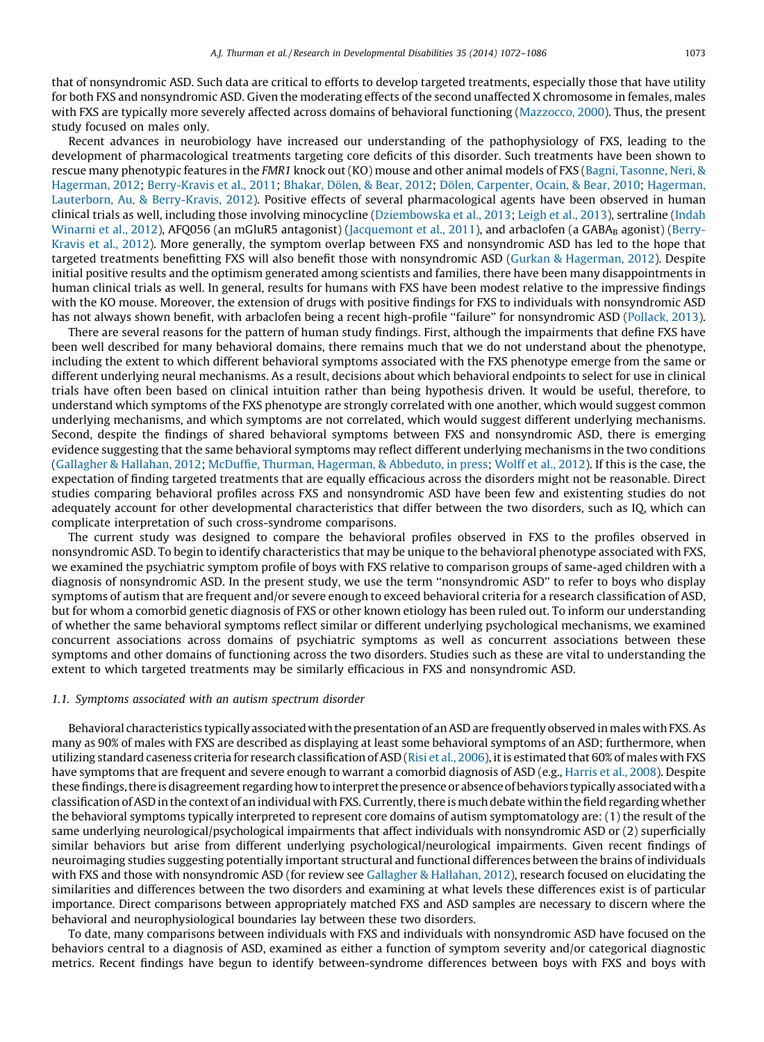that of nonsyndromic ASD. Such data are critical to efforts to develop targeted treatments, especially those that have utility for both FXS and nonsyndromic ASD. Given the moderating effects of the second unaffected X chromosome in females, males with FXS are typically more severely affected across domains of behavioral functioning [\(Mazzocco,](#page-13-0) 2000). Thus, the present study focused on males only.

Recent advances in neurobiology have increased our understanding of the pathophysiology of FXS, leading to the development of pharmacological treatments targeting core deficits of this disorder. Such treatments have been shown to rescue many phenotypic features in the FMR1 knock out (KO) mouse and other animal models of FXS (Bagni, [Tasonne,](#page-12-0) Neri, & [Hagerman,](#page-13-0) 2012; [Berry-Kravis](#page-12-0) et al., 2011; [Bhakar,](#page-12-0) Dölen, & Bear, 2012; Dölen, [Carpenter,](#page-13-0) Ocain, & Bear, 2010; Hagerman, Lauterborn, Au, & [Berry-Kravis,](#page-13-0) 2012). Positive effects of several pharmacological agents have been observed in human clinical trials as well, including those involving minocycline [\(Dziembowska](#page-13-0) et al., 2013; [Leigh](#page-13-0) et al., 2013), sertraline [\(Indah](#page-13-0) [Winarni](#page-13-0) et al., 2012), AFQ056 (an mGluR5 antagonist) [\(Jacquemont](#page-13-0) et al., 2011), and arbaclofen (a GABA<sub>B</sub> agonist) [\(Berry-](#page-12-0)[Kravis](#page-12-0) et al., 2012). More generally, the symptom overlap between FXS and nonsyndromic ASD has led to the hope that targeted treatments benefitting FXS will also benefit those with nonsyndromic ASD (Gurkan & [Hagerman,](#page-13-0) 2012). Despite initial positive results and the optimism generated among scientists and families, there have been many disappointments in human clinical trials as well. In general, results for humans with FXS have been modest relative to the impressive findings with the KO mouse. Moreover, the extension of drugs with positive findings for FXS to individuals with nonsyndromic ASD has not always shown benefit, with arbaclofen being a recent high-profile "failure" for nonsyndromic ASD [\(Pollack,](#page-13-0) 2013).

There are several reasons for the pattern of human study findings. First, although the impairments that define FXS have been well described for many behavioral domains, there remains much that we do not understand about the phenotype, including the extent to which different behavioral symptoms associated with the FXS phenotype emerge from the same or different underlying neural mechanisms. As a result, decisions about which behavioral endpoints to select for use in clinical trials have often been based on clinical intuition rather than being hypothesis driven. It would be useful, therefore, to understand which symptoms of the FXS phenotype are strongly correlated with one another, which would suggest common underlying mechanisms, and which symptoms are not correlated, which would suggest different underlying mechanisms. Second, despite the findings of shared behavioral symptoms between FXS and nonsyndromic ASD, there is emerging evidence suggesting that the same behavioral symptoms may reflect different underlying mechanisms in the two conditions ([Gallagher](#page-13-0) & Hallahan, 2012; McDuffie, Thurman, [Hagerman,](#page-13-0) & Abbeduto, in press; [Wolff](#page-14-0) et al., 2012). If this is the case, the expectation of finding targeted treatments that are equally efficacious across the disorders might not be reasonable. Direct studies comparing behavioral profiles across FXS and nonsyndromic ASD have been few and existenting studies do not adequately account for other developmental characteristics that differ between the two disorders, such as IQ, which can complicate interpretation of such cross-syndrome comparisons.

The current study was designed to compare the behavioral profiles observed in FXS to the profiles observed in nonsyndromic ASD. To begin to identify characteristics that may be unique to the behavioral phenotype associated with FXS, we examined the psychiatric symptom profile of boys with FXS relative to comparison groups of same-aged children with a diagnosis of nonsyndromic ASD. In the present study, we use the term ''nonsyndromic ASD'' to refer to boys who display symptoms of autism that are frequent and/or severe enough to exceed behavioral criteria for a research classification of ASD, but for whom a comorbid genetic diagnosis of FXS or other known etiology has been ruled out. To inform our understanding of whether the same behavioral symptoms reflect similar or different underlying psychological mechanisms, we examined concurrent associations across domains of psychiatric symptoms as well as concurrent associations between these symptoms and other domains of functioning across the two disorders. Studies such as these are vital to understanding the extent to which targeted treatments may be similarly efficacious in FXS and nonsyndromic ASD.

## 1.1. Symptoms associated with an autism spectrum disorder

Behavioral characteristics typically associated with the presentation of an ASD are frequently observed in males with FXS. As many as 90% of males with FXS are described as displaying at least some behavioral symptoms of an ASD; furthermore, when utilizing standard caseness criteria for research classification ofASD (Risi et al., [2006](#page-13-0)), itis estimated that 60% of males with FXS have symptoms that are frequent and severe enough to warrant a comorbid diagnosis of ASD (e.g., [Harris](#page-13-0) et al., 2008). Despite these findings, there is disagreement regarding how to interpret the presence or absence of behaviors typically associated with a classification of ASD in the context of an individual with FXS. Currently, there is much debate within the field regarding whether the behavioral symptoms typically interpreted to represent core domains of autism symptomatology are: (1) the result of the same underlying neurological/psychological impairments that affect individuals with nonsyndromic ASD or (2) superficially similar behaviors but arise from different underlying psychological/neurological impairments. Given recent findings of neuroimaging studies suggesting potentially important structural and functional differences between the brains of individuals with FXS and those with nonsyndromic ASD (for review see [Gallagher](#page-13-0) & Hallahan, 2012), research focused on elucidating the similarities and differences between the two disorders and examining at what levels these differences exist is of particular importance. Direct comparisons between appropriately matched FXS and ASD samples are necessary to discern where the behavioral and neurophysiological boundaries lay between these two disorders.

To date, many comparisons between individuals with FXS and individuals with nonsyndromic ASD have focused on the behaviors central to a diagnosis of ASD, examined as either a function of symptom severity and/or categorical diagnostic metrics. Recent findings have begun to identify between-syndrome differences between boys with FXS and boys with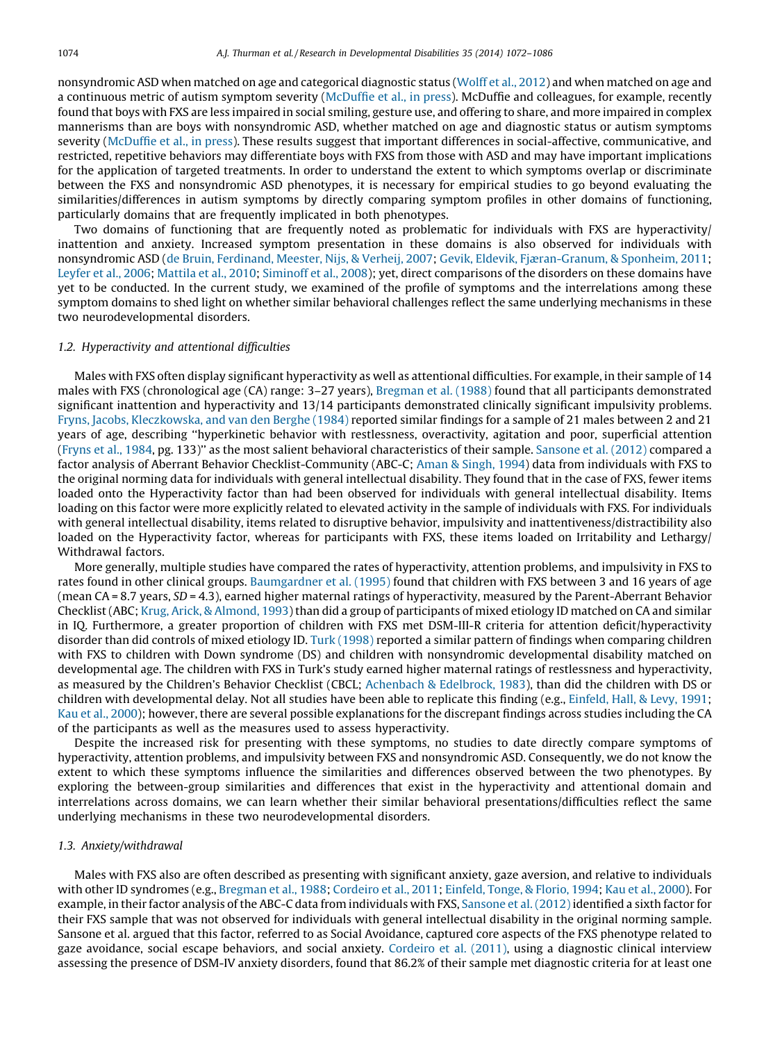nonsyndromic ASD when matched on age and categorical diagnostic status ([Wolff](#page-14-0) et al., 2012) and when matched on age and a continuous metric of autism symptom severity [\(McDuffie](#page-13-0) et al., in press). McDuffie and colleagues, for example, recently found that boys with FXS are less impaired in social smiling, gesture use, and offering to share, and more impaired in complex mannerisms than are boys with nonsyndromic ASD, whether matched on age and diagnostic status or autism symptoms severity ([McDuffie](#page-13-0) et al., in press). These results suggest that important differences in social-affective, communicative, and restricted, repetitive behaviors may differentiate boys with FXS from those with ASD and may have important implications for the application of targeted treatments. In order to understand the extent to which symptoms overlap or discriminate between the FXS and nonsyndromic ASD phenotypes, it is necessary for empirical studies to go beyond evaluating the similarities/differences in autism symptoms by directly comparing symptom profiles in other domains of functioning, particularly domains that are frequently implicated in both phenotypes.

Two domains of functioning that are frequently noted as problematic for individuals with FXS are hyperactivity/ inattention and anxiety. Increased symptom presentation in these domains is also observed for individuals with nonsyndromic ASD (de Bruin, [Ferdinand,](#page-13-0) Meester, Nijs, & Verheij, 2007; Gevik, Eldevik, [Fjæran-Granum,](#page-13-0) & Sponheim, 2011; [Leyfer](#page-13-0) et al., 2006; [Mattila](#page-13-0) et al., 2010; [Siminoff](#page-14-0) et al., 2008); yet, direct comparisons of the disorders on these domains have yet to be conducted. In the current study, we examined of the profile of symptoms and the interrelations among these symptom domains to shed light on whether similar behavioral challenges reflect the same underlying mechanisms in these two neurodevelopmental disorders.

## 1.2. Hyperactivity and attentional difficulties

Males with FXS often display significant hyperactivity as well as attentional difficulties. For example, in their sample of 14 males with FXS (chronological age (CA) range: 3–27 years), [Bregman](#page-12-0) et al. (1988) found that all participants demonstrated significant inattention and hyperactivity and 13/14 participants demonstrated clinically significant impulsivity problems. Fryns, Jacobs, [Kleczkowska,](#page-13-0) and van den Berghe (1984) reported similar findings for a sample of 21 males between 2 and 21 years of age, describing ''hyperkinetic behavior with restlessness, overactivity, agitation and poor, superficial attention [\(Fryns](#page-13-0) et al., 1984, pg. 133)'' as the most salient behavioral characteristics of their sample. [Sansone](#page-13-0) et al. (2012) compared a factor analysis of Aberrant Behavior Checklist-Community (ABC-C; Aman & [Singh,](#page-12-0) 1994) data from individuals with FXS to the original norming data for individuals with general intellectual disability. They found that in the case of FXS, fewer items loaded onto the Hyperactivity factor than had been observed for individuals with general intellectual disability. Items loading on this factor were more explicitly related to elevated activity in the sample of individuals with FXS. For individuals with general intellectual disability, items related to disruptive behavior, impulsivity and inattentiveness/distractibility also loaded on the Hyperactivity factor, whereas for participants with FXS, these items loaded on Irritability and Lethargy/ Withdrawal factors.

More generally, multiple studies have compared the rates of hyperactivity, attention problems, and impulsivity in FXS to rates found in other clinical groups. [Baumgardner](#page-12-0) et al. (1995) found that children with FXS between 3 and 16 years of age (mean CA = 8.7 years, SD = 4.3), earned higher maternal ratings of hyperactivity, measured by the Parent-Aberrant Behavior Checklist(ABC; Krug, Arick, & [Almond,](#page-13-0) 1993) than did a group of participants of mixed etiology ID matched on CA and similar in IQ. Furthermore, a greater proportion of children with FXS met DSM-III-R criteria for attention deficit/hyperactivity disorder than did controls of mixed etiology ID. Turk [\(1998\)](#page-14-0) reported a similar pattern of findings when comparing children with FXS to children with Down syndrome (DS) and children with nonsyndromic developmental disability matched on developmental age. The children with FXS in Turk's study earned higher maternal ratings of restlessness and hyperactivity, as measured by the Children's Behavior Checklist (CBCL; [Achenbach](#page-12-0) & Edelbrock, 1983), than did the children with DS or children with developmental delay. Not all studies have been able to replicate this finding (e.g., [Einfeld,](#page-13-0) Hall, & Levy, 1991; Kau et al., [2000](#page-13-0)); however, there are several possible explanations for the discrepant findings across studies including the CA of the participants as well as the measures used to assess hyperactivity.

Despite the increased risk for presenting with these symptoms, no studies to date directly compare symptoms of hyperactivity, attention problems, and impulsivity between FXS and nonsyndromic ASD. Consequently, we do not know the extent to which these symptoms influence the similarities and differences observed between the two phenotypes. By exploring the between-group similarities and differences that exist in the hyperactivity and attentional domain and interrelations across domains, we can learn whether their similar behavioral presentations/difficulties reflect the same underlying mechanisms in these two neurodevelopmental disorders.

## 1.3. Anxiety/withdrawal

Males with FXS also are often described as presenting with significant anxiety, gaze aversion, and relative to individuals with other ID syndromes (e.g., [Bregman](#page-12-0) et al., 1988; [Cordeiro](#page-13-0) et al., 2011; [Einfeld,](#page-13-0) Tonge, & Florio, 1994; Kau et al., [2000](#page-13-0)). For example, in their factor analysis of the ABC-C data from individuals with FXS, [Sansone](#page-13-0) et al. (2012) identified a sixth factor for their FXS sample that was not observed for individuals with general intellectual disability in the original norming sample. Sansone et al. argued that this factor, referred to as Social Avoidance, captured core aspects of the FXS phenotype related to gaze avoidance, social escape behaviors, and social anxiety. [Cordeiro](#page-13-0) et al. (2011), using a diagnostic clinical interview assessing the presence of DSM-IV anxiety disorders, found that 86.2% of their sample met diagnostic criteria for at least one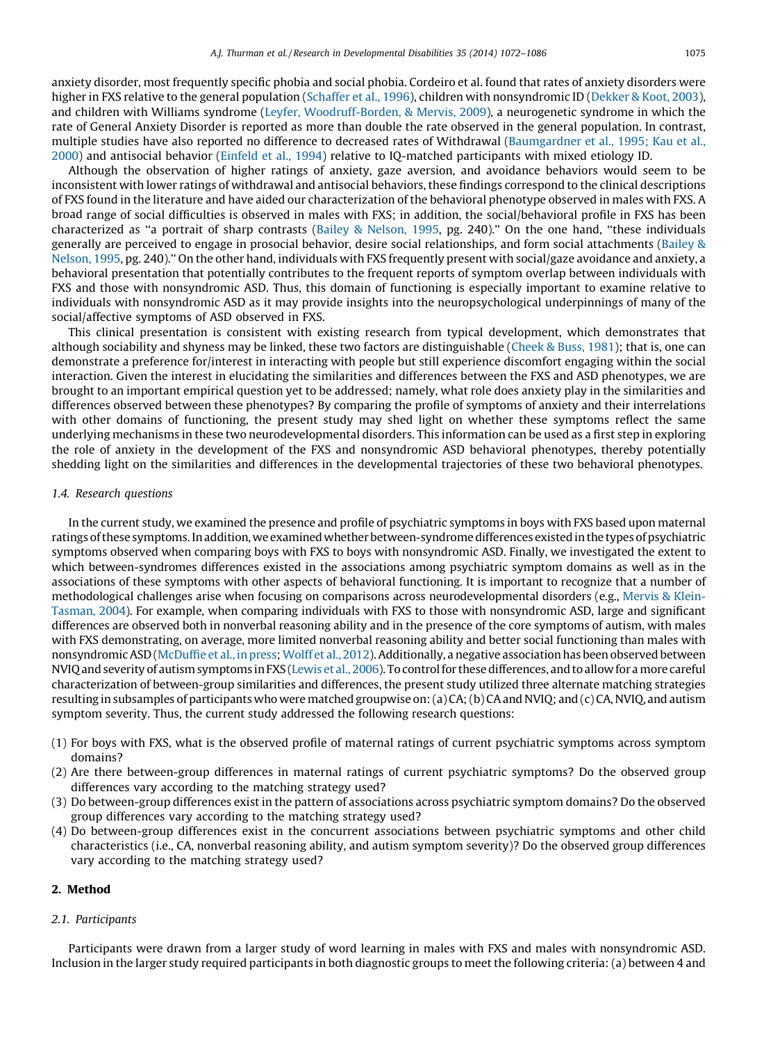anxiety disorder, most frequently specific phobia and social phobia. Cordeiro et al. found that rates of anxiety disorders were higher in FXS relative to the general population ([Schaffer](#page-14-0) et al., 1996), children with nonsyndromic ID [\(Dekker](#page-13-0) & Koot, 2003), and children with Williams syndrome (Leyfer, [Woodruff-Borden,](#page-13-0) & Mervis, 2009), a neurogenetic syndrome in which the rate of General Anxiety Disorder is reported as more than double the rate observed in the general population. In contrast, multiple studies have also reported no difference to decreased rates of Withdrawal ([Baumgardner](#page-12-0) et al., 1995; Kau et al., [2000\)](#page-12-0) and antisocial behavior [\(Einfeld](#page-13-0) et al., 1994) relative to IQ-matched participants with mixed etiology ID.

Although the observation of higher ratings of anxiety, gaze aversion, and avoidance behaviors would seem to be inconsistent with lower ratings of withdrawal and antisocial behaviors, these findings correspond to the clinical descriptions of FXS found in the literature and have aided our characterization of the behavioral phenotype observed in males with FXS. A broad range of social difficulties is observed in males with FXS; in addition, the social/behavioral profile in FXS has been characterized as ''a portrait of sharp contrasts (Bailey & [Nelson,](#page-12-0) 1995, pg. 240).'' On the one hand, ''these individuals generally are perceived to engage in prosocial behavior, desire social relationships, and form social attachments ([Bailey](#page-12-0) & [Nelson,](#page-12-0) 1995, pg. 240).'' On the other hand, individuals with FXS frequently present with social/gaze avoidance and anxiety, a behavioral presentation that potentially contributes to the frequent reports of symptom overlap between individuals with FXS and those with nonsyndromic ASD. Thus, this domain of functioning is especially important to examine relative to individuals with nonsyndromic ASD as it may provide insights into the neuropsychological underpinnings of many of the social/affective symptoms of ASD observed in FXS.

This clinical presentation is consistent with existing research from typical development, which demonstrates that although sociability and shyness may be linked, these two factors are distinguishable ([Cheek](#page-12-0) & Buss, 1981); that is, one can demonstrate a preference for/interest in interacting with people but still experience discomfort engaging within the social interaction. Given the interest in elucidating the similarities and differences between the FXS and ASD phenotypes, we are brought to an important empirical question yet to be addressed; namely, what role does anxiety play in the similarities and differences observed between these phenotypes? By comparing the profile of symptoms of anxiety and their interrelations with other domains of functioning, the present study may shed light on whether these symptoms reflect the same underlying mechanisms in these two neurodevelopmental disorders. This information can be used as a first step in exploring the role of anxiety in the development of the FXS and nonsyndromic ASD behavioral phenotypes, thereby potentially shedding light on the similarities and differences in the developmental trajectories of these two behavioral phenotypes.

## 1.4. Research questions

In the current study, we examined the presence and profile of psychiatric symptoms in boys with FXS based upon maternal ratings of these symptoms. In addition, we examined whether between-syndrome differences existed in the types of psychiatric symptoms observed when comparing boys with FXS to boys with nonsyndromic ASD. Finally, we investigated the extent to which between-syndromes differences existed in the associations among psychiatric symptom domains as well as in the associations of these symptoms with other aspects of behavioral functioning. It is important to recognize that a number of methodological challenges arise when focusing on comparisons across neurodevelopmental disorders (e.g., [Mervis](#page-13-0) & Klein-[Tasman,](#page-13-0) 2004). For example, when comparing individuals with FXS to those with nonsyndromic ASD, large and significant differences are observed both in nonverbal reasoning ability and in the presence of the core symptoms of autism, with males with FXS demonstrating, on average, more limited nonverbal reasoning ability and better social functioning than males with nonsyndromic ASD [\(McDuffie](#page-13-0) et al., in press; [Wolff](#page-14-0) et al., 2012). Additionally, a negative association has been observed between NVIQandseverity of autismsymptoms inFXS [\(Lewis](#page-13-0) et al., 2006). To controlfor these differences, andto allow for amore careful characterization of between-group similarities and differences, the present study utilized three alternate matching strategies resulting in subsamples of participants who were matched groupwise on:(a)CA;(b) CAand NVIQ; and (c) CA, NVIQ, and autism symptom severity. Thus, the current study addressed the following research questions:

- (1) For boys with FXS, what is the observed profile of maternal ratings of current psychiatric symptoms across symptom domains?
- (2) Are there between-group differences in maternal ratings of current psychiatric symptoms? Do the observed group differences vary according to the matching strategy used?
- (3) Do between-group differences exist in the pattern of associations across psychiatric symptom domains? Do the observed group differences vary according to the matching strategy used?
- (4) Do between-group differences exist in the concurrent associations between psychiatric symptoms and other child characteristics (i.e., CA, nonverbal reasoning ability, and autism symptom severity)? Do the observed group differences vary according to the matching strategy used?

## 2. Method

#### 2.1. Participants

Participants were drawn from a larger study of word learning in males with FXS and males with nonsyndromic ASD. Inclusion in the larger study required participants in both diagnostic groups to meet the following criteria: (a) between 4 and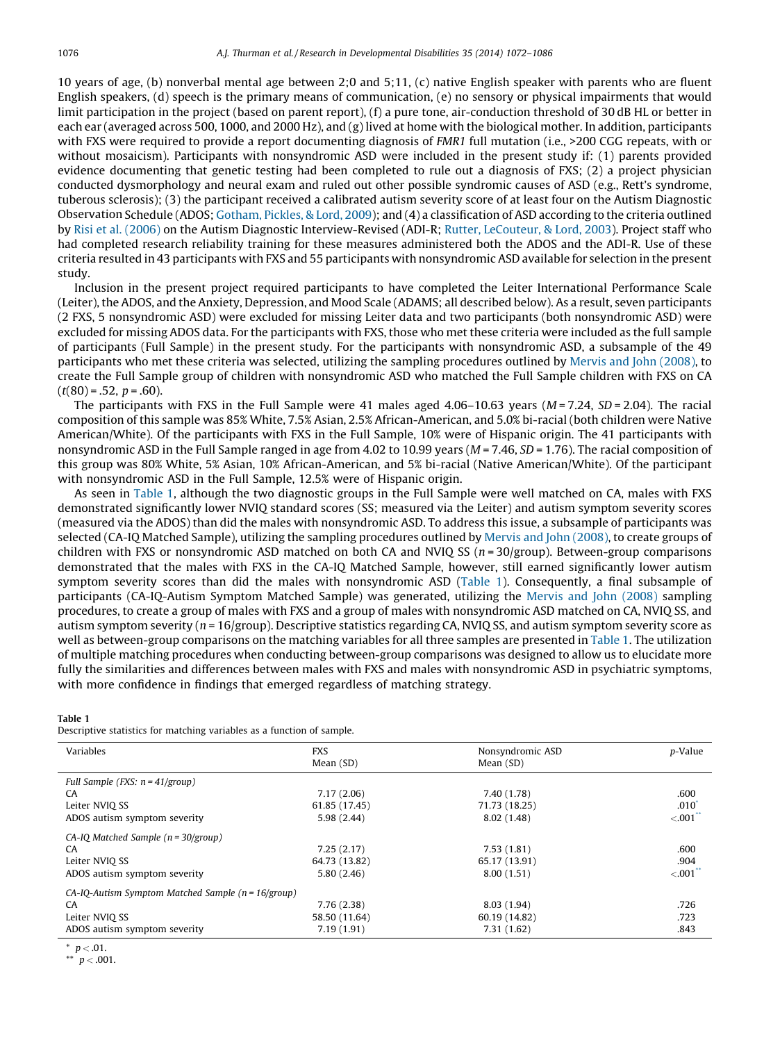10 years of age, (b) nonverbal mental age between 2;0 and 5;11, (c) native English speaker with parents who are fluent English speakers, (d) speech is the primary means of communication, (e) no sensory or physical impairments that would limit participation in the project (based on parent report), (f) a pure tone, air-conduction threshold of 30 dB HL or better in each ear (averaged across 500, 1000, and 2000 Hz), and  $(g)$  lived at home with the biological mother. In addition, participants with FXS were required to provide a report documenting diagnosis of FMR1 full mutation (i.e., >200 CGG repeats, with or without mosaicism). Participants with nonsyndromic ASD were included in the present study if: (1) parents provided evidence documenting that genetic testing had been completed to rule out a diagnosis of FXS; (2) a project physician conducted dysmorphology and neural exam and ruled out other possible syndromic causes of ASD (e.g., Rett's syndrome, tuberous sclerosis); (3) the participant received a calibrated autism severity score of at least four on the Autism Diagnostic Observation Schedule (ADOS; [Gotham,](#page-13-0) Pickles, & Lord, 2009); and (4) a classification of ASD according to the criteria outlined by Risi et al. [\(2006\)](#page-13-0) on the Autism Diagnostic Interview-Revised (ADI-R; Rutter, [LeCouteur,](#page-13-0) & Lord, 2003). Project staff who had completed research reliability training for these measures administered both the ADOS and the ADI-R. Use of these criteria resulted in 43 participants with FXS and 55 participants with nonsyndromic ASD available for selection in the present study.

Inclusion in the present project required participants to have completed the Leiter International Performance Scale (Leiter), the ADOS, and the Anxiety, Depression, and Mood Scale (ADAMS; all described below). As a result, seven participants (2 FXS, 5 nonsyndromic ASD) were excluded for missing Leiter data and two participants (both nonsyndromic ASD) were excluded for missing ADOS data. For the participants with FXS, those who met these criteria were included as the full sample of participants (Full Sample) in the present study. For the participants with nonsyndromic ASD, a subsample of the 49 participants who met these criteria was selected, utilizing the sampling procedures outlined by [Mervis](#page-13-0) and John (2008), to create the Full Sample group of children with nonsyndromic ASD who matched the Full Sample children with FXS on CA  $(t(80) = .52, p = .60)$ .

The participants with FXS in the Full Sample were 41 males aged 4.06–10.63 years ( $M = 7.24$ ,  $SD = 2.04$ ). The racial composition of this sample was 85% White, 7.5% Asian, 2.5% African-American, and 5.0% bi-racial (both children were Native American/White). Of the participants with FXS in the Full Sample, 10% were of Hispanic origin. The 41 participants with nonsyndromic ASD in the Full Sample ranged in age from 4.02 to 10.99 years ( $M = 7.46$ ,  $SD = 1.76$ ). The racial composition of this group was 80% White, 5% Asian, 10% African-American, and 5% bi-racial (Native American/White). Of the participant with nonsyndromic ASD in the Full Sample, 12.5% were of Hispanic origin.

As seen in Table 1, although the two diagnostic groups in the Full Sample were well matched on CA, males with FXS demonstrated significantly lower NVIQ standard scores (SS; measured via the Leiter) and autism symptom severity scores (measured via the ADOS) than did the males with nonsyndromic ASD. To address this issue, a subsample of participants was selected (CA-IQ Matched Sample), utilizing the sampling procedures outlined by [Mervis](#page-13-0) and John (2008), to create groups of children with FXS or nonsyndromic ASD matched on both CA and NVIO SS  $(n=30/\text{group})$ . Between-group comparisons demonstrated that the males with FXS in the CA-IQ Matched Sample, however, still earned significantly lower autism symptom severity scores than did the males with nonsyndromic ASD (Table 1). Consequently, a final subsample of participants (CA-IQ-Autism Symptom Matched Sample) was generated, utilizing the [Mervis](#page-13-0) and John (2008) sampling procedures, to create a group of males with FXS and a group of males with nonsyndromic ASD matched on CA, NVIQ SS, and autism symptom severity ( $n = 16$ /group). Descriptive statistics regarding CA, NVIQ SS, and autism symptom severity score as well as between-group comparisons on the matching variables for all three samples are presented in Table 1. The utilization of multiple matching procedures when conducting between-group comparisons was designed to allow us to elucidate more fully the similarities and differences between males with FXS and males with nonsyndromic ASD in psychiatric symptoms, with more confidence in findings that emerged regardless of matching strategy.

| Variables                                                 | FXS<br>Mean (SD) | Nonsyndromic ASD<br>Mean (SD) | p-Value          |
|-----------------------------------------------------------|------------------|-------------------------------|------------------|
| Full Sample (FXS: $n = 41$ /group)                        |                  |                               |                  |
| CA.                                                       | 7.17(2.06)       | 7.40 (1.78)                   | .600             |
| Leiter NVIQ SS                                            | 61.85 (17.45)    | 71.73 (18.25)                 | $.010^{\degree}$ |
| ADOS autism symptom severity                              | 5.98 (2.44)      | 8.02(1.48)                    | < 001            |
| $CA-IQ$ Matched Sample ( $n = 30$ /group)                 |                  |                               |                  |
| CA                                                        | 7.25(2.17)       | 7.53(1.81)                    | .600             |
| Leiter NVIQ SS                                            | 64.73 (13.82)    | 65.17 (13.91)                 | .904             |
| ADOS autism symptom severity                              | 5.80(2.46)       | 8.00(1.51)                    | < 0.01           |
| $CA$ -IQ-Autism Symptom Matched Sample ( $n = 16$ /group) |                  |                               |                  |
| CA                                                        | 7.76(2.38)       | 8.03(1.94)                    | .726             |
| Leiter NVIQ SS                                            | 58.50 (11.64)    | 60.19 (14.82)                 | .723             |
| ADOS autism symptom severity                              | 7.19(1.91)       | 7.31 (1.62)                   | .843             |

## Table 1

Descriptive statistics for matching variables as a function of sample.

 $p < .01$ .

 $p < .001$ .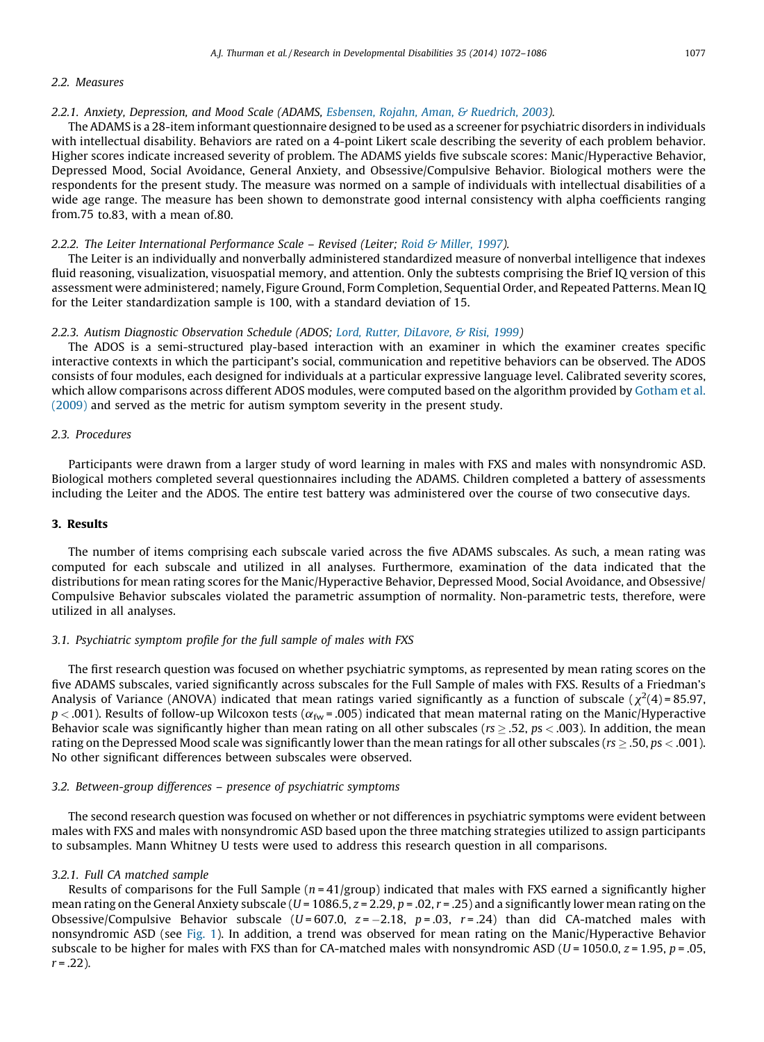# 2.2. Measures

## 2.2.1. Anxiety, Depression, and Mood Scale (ADAMS, [Esbensen,](#page-13-0) Rojahn, Aman, & Ruedrich, 2003).

The ADAMS is a 28-item informant questionnaire designed to be used as a screener for psychiatric disorders in individuals with intellectual disability. Behaviors are rated on a 4-point Likert scale describing the severity of each problem behavior. Higher scores indicate increased severity of problem. The ADAMS yields five subscale scores: Manic/Hyperactive Behavior, Depressed Mood, Social Avoidance, General Anxiety, and Obsessive/Compulsive Behavior. Biological mothers were the respondents for the present study. The measure was normed on a sample of individuals with intellectual disabilities of a wide age range. The measure has been shown to demonstrate good internal consistency with alpha coefficients ranging from.75 to.83, with a mean of.80.

## 2.2.2. The Leiter International Performance Scale – Revised (Leiter; Roid & [Miller,](#page-13-0) 1997).

The Leiter is an individually and nonverbally administered standardized measure of nonverbal intelligence that indexes fluid reasoning, visualization, visuospatial memory, and attention. Only the subtests comprising the Brief IQ version of this assessment were administered; namely, Figure Ground, Form Completion, Sequential Order, and Repeated Patterns. Mean IQ for the Leiter standardization sample is 100, with a standard deviation of 15.

## 2.2.3. Autism Diagnostic Observation Schedule (ADOS; Lord, Rutter, [DiLavore,](#page-13-0) & Risi, 1999)

The ADOS is a semi-structured play-based interaction with an examiner in which the examiner creates specific interactive contexts in which the participant's social, communication and repetitive behaviors can be observed. The ADOS consists of four modules, each designed for individuals at a particular expressive language level. Calibrated severity scores, which allow comparisons across different ADOS modules, were computed based on the algorithm provided by [Gotham](#page-13-0) et al. [\(2009\)](#page-13-0) and served as the metric for autism symptom severity in the present study.

## 2.3. Procedures

Participants were drawn from a larger study of word learning in males with FXS and males with nonsyndromic ASD. Biological mothers completed several questionnaires including the ADAMS. Children completed a battery of assessments including the Leiter and the ADOS. The entire test battery was administered over the course of two consecutive days.

# 3. Results

The number of items comprising each subscale varied across the five ADAMS subscales. As such, a mean rating was computed for each subscale and utilized in all analyses. Furthermore, examination of the data indicated that the distributions for mean rating scores for the Manic/Hyperactive Behavior, Depressed Mood, Social Avoidance, and Obsessive/ Compulsive Behavior subscales violated the parametric assumption of normality. Non-parametric tests, therefore, were utilized in all analyses.

## 3.1. Psychiatric symptom profile for the full sample of males with FXS

The first research question was focused on whether psychiatric symptoms, as represented by mean rating scores on the five ADAMS subscales, varied significantly across subscales for the Full Sample of males with FXS. Results of a Friedman's Analysis of Variance (ANOVA) indicated that mean ratings varied significantly as a function of subscale ( $\chi^2(4)$ =85.97,  $p < .001$ ). Results of follow-up Wilcoxon tests ( $\alpha_{fw}$  = .005) indicated that mean maternal rating on the Manic/Hyperactive Behavior scale was significantly higher than mean rating on all other subscales (rs  $\geq$  .52, ps  $<$  .003). In addition, the mean rating on the Depressed Mood scale was significantly lower than the mean ratings for all other subscales (rs  $\geq$  .50, ps  $<$  .001). No other significant differences between subscales were observed.

#### 3.2. Between-group differences – presence of psychiatric symptoms

The second research question was focused on whether or not differences in psychiatric symptoms were evident between males with FXS and males with nonsyndromic ASD based upon the three matching strategies utilized to assign participants to subsamples. Mann Whitney U tests were used to address this research question in all comparisons.

## 3.2.1. Full CA matched sample

Results of comparisons for the Full Sample ( $n = 41$ /group) indicated that males with FXS earned a significantly higher mean rating on the General Anxiety subscale ( $U = 1086.5$ ,  $z = 2.29$ ,  $p = .02$ ,  $r = .25$ ) and a significantly lower mean rating on the Obsessive/Compulsive Behavior subscale ( $U = 607.0$ ,  $z = -2.18$ ,  $p = .03$ ,  $r = .24$ ) than did CA-matched males with nonsyndromic ASD (see [Fig.](#page-6-0) 1). In addition, a trend was observed for mean rating on the Manic/Hyperactive Behavior subscale to be higher for males with FXS than for CA-matched males with nonsyndromic ASD ( $U = 1050.0$ ,  $z = 1.95$ ,  $p = .05$ ,  $r = .22$ ).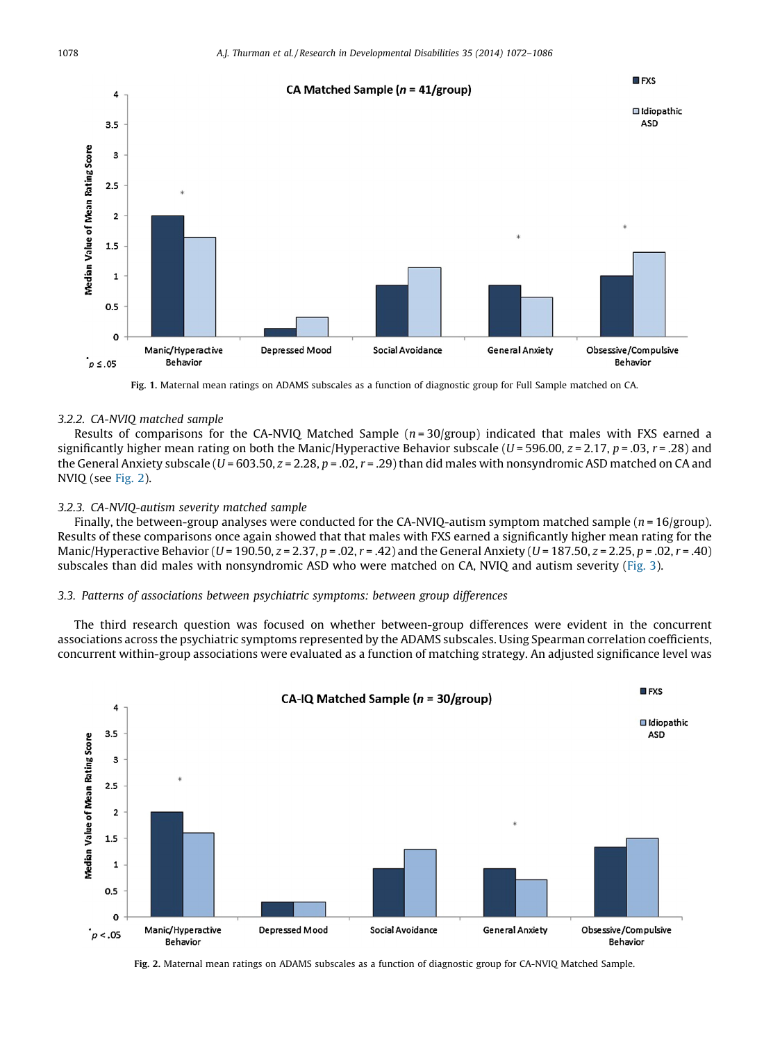<span id="page-6-0"></span>

Fig. 1. Maternal mean ratings on ADAMS subscales as a function of diagnostic group for Full Sample matched on CA.

### 3.2.2. CA-NVIQ matched sample

Results of comparisons for the CA-NVIQ Matched Sample  $(n=30/\text{group})$  indicated that males with FXS earned a significantly higher mean rating on both the Manic/Hyperactive Behavior subscale ( $U = 596.00$ ,  $z = 2.17$ ,  $p = .03$ ,  $r = .28$ ) and the General Anxiety subscale ( $U = 603.50$ ,  $z = 2.28$ ,  $p = 0.02$ ,  $r = 0.29$ ) than did males with nonsyndromic ASD matched on CA and NVIQ (see Fig. 2).

# 3.2.3. CA-NVIQ-autism severity matched sample

Finally, the between-group analyses were conducted for the CA-NVIQ-autism symptom matched sample  $(n = 16/$ group). Results of these comparisons once again showed that that males with FXS earned a significantly higher mean rating for the Manic/Hyperactive Behavior (U = 190.50,  $z = 2.37$ ,  $p = .02$ ,  $r = .42$ ) and the General Anxiety (U = 187.50,  $z = 2.25$ ,  $p = .02$ ,  $r = .40$ ) subscales than did males with nonsyndromic ASD who were matched on CA, NVIQ and autism severity [\(Fig.](#page-7-0) 3).

# 3.3. Patterns of associations between psychiatric symptoms: between group differences

The third research question was focused on whether between-group differences were evident in the concurrent associations across the psychiatric symptoms represented by the ADAMS subscales. Using Spearman correlation coefficients, concurrent within-group associations were evaluated as a function of matching strategy. An adjusted significance level was



Fig. 2. Maternal mean ratings on ADAMS subscales as a function of diagnostic group for CA-NVIQ Matched Sample.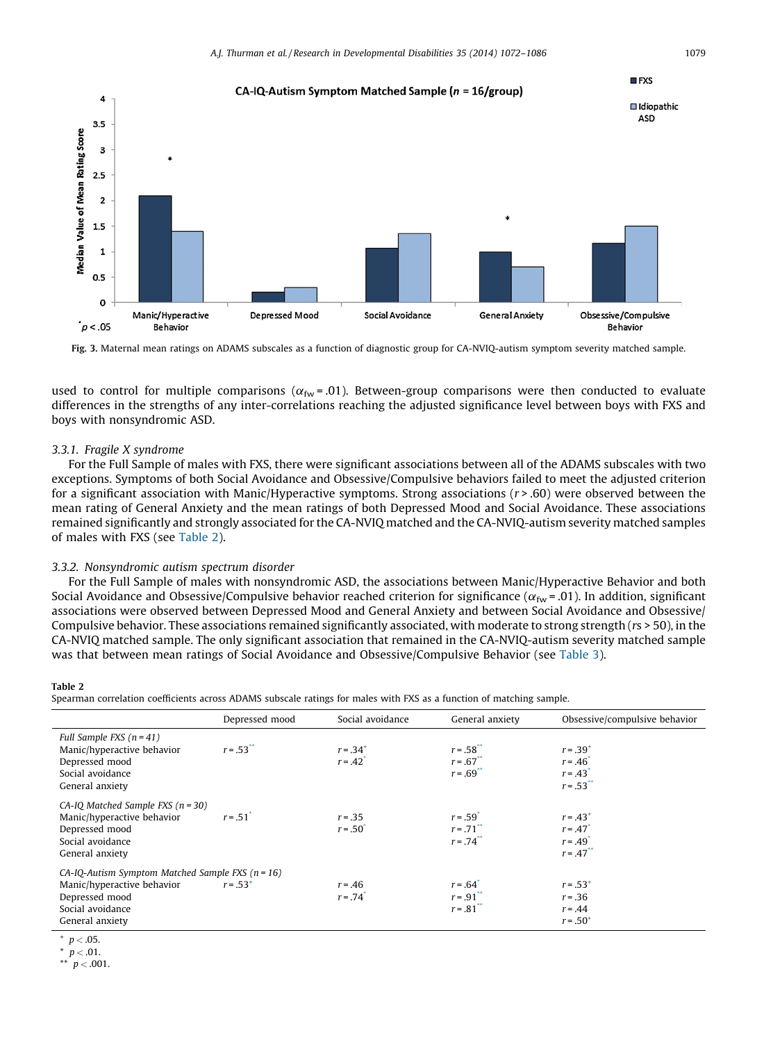<span id="page-7-0"></span>

Fig. 3. Maternal mean ratings on ADAMS subscales as a function of diagnostic group for CA-NVIQ-autism symptom severity matched sample.

used to control for multiple comparisons ( $\alpha_{fw}$  = .01). Between-group comparisons were then conducted to evaluate differences in the strengths of any inter-correlations reaching the adjusted significance level between boys with FXS and boys with nonsyndromic ASD.

## 3.3.1. Fragile X syndrome

For the Full Sample of males with FXS, there were significant associations between all of the ADAMS subscales with two exceptions. Symptoms of both Social Avoidance and Obsessive/Compulsive behaviors failed to meet the adjusted criterion for a significant association with Manic/Hyperactive symptoms. Strong associations  $(r > .60)$  were observed between the mean rating of General Anxiety and the mean ratings of both Depressed Mood and Social Avoidance. These associations remained significantly and strongly associated for the CA-NVIQ matched and the CA-NVIQ-autism severity matched samples of males with FXS (see Table 2).

## 3.3.2. Nonsyndromic autism spectrum disorder

For the Full Sample of males with nonsyndromic ASD, the associations between Manic/Hyperactive Behavior and both Social Avoidance and Obsessive/Compulsive behavior reached criterion for significance ( $\alpha_{fw}$  = .01). In addition, significant associations were observed between Depressed Mood and General Anxiety and between Social Avoidance and Obsessive/ Compulsive behavior. These associations remained significantly associated, with moderate to strong strength (rs > 50), in the CA-NVIQ matched sample. The only significant association that remained in the CA-NVIQ-autism severity matched sample was that between mean ratings of Social Avoidance and Obsessive/Compulsive Behavior (see [Table](#page-8-0) 3).

#### Table 2

Spearman correlation coefficients across ADAMS subscale ratings for males with FXS as a function of matching sample.

|                                                      | Depressed mood | Social avoidance       | General anxiety         | Obsessive/compulsive behavior |
|------------------------------------------------------|----------------|------------------------|-------------------------|-------------------------------|
| Full Sample FXS $(n = 41)$                           |                |                        |                         |                               |
| Manic/hyperactive behavior                           | $r = .53$      | $r = .34^{+}$          | $r = .58$               | $r = .39^{+}$                 |
| Depressed mood                                       |                | $r = .42$ <sup>*</sup> | $r = .67$ <sup>**</sup> | $r = .46$ <sup>*</sup>        |
| Social avoidance                                     |                |                        | $r = .69$ <sup>**</sup> | $r = .43$                     |
| General anxiety                                      |                |                        |                         | $r = .53$                     |
| CA-IQ Matched Sample FXS $(n = 30)$                  |                |                        |                         |                               |
| Manic/hyperactive behavior                           | $r = .51$      | $r = .35$              | $r = .59$ <sup>*</sup>  | $r = .43^{+}$                 |
| Depressed mood                                       |                | $r = .50^{\circ}$      | $r = .71$               | $r = .47$ <sup>*</sup>        |
| Social avoidance                                     |                |                        | $r = .74$ **            | $r = .49$ <sup>*</sup>        |
| General anxiety                                      |                |                        |                         | $r = .47$                     |
| CA-IQ-Autism Symptom Matched Sample FXS ( $n = 16$ ) |                |                        |                         |                               |
| Manic/hyperactive behavior                           | $r = .53^{+}$  | $r = .46$              | $r = .64$ <sup>*</sup>  | $r = .53^{+}$                 |
| Depressed mood                                       |                | $r = .74$ <sup>*</sup> | $r = .91$               | $r = .36$                     |
| Social avoidance                                     |                |                        | $r = .81$ .             | $r = .44$                     |
| General anxiety                                      |                |                        |                         | $r = .50^{+}$                 |

$$
^+ p < .05.
$$

 $^*$   $p < .01$ .

 $p < .001.$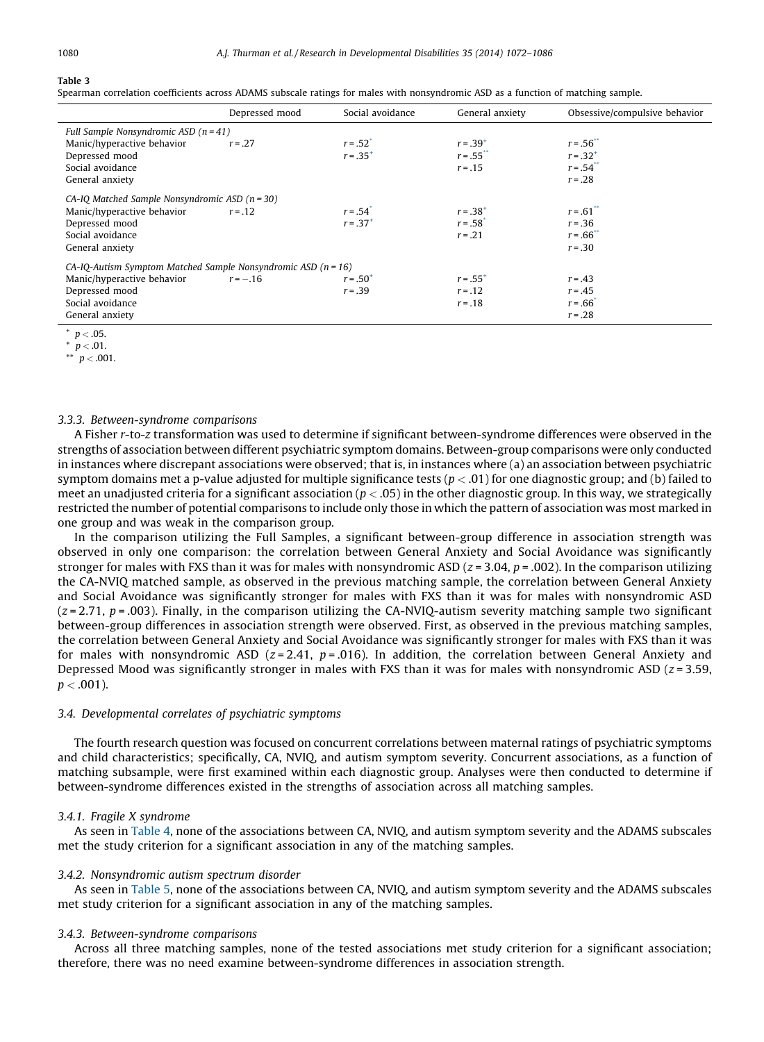#### <span id="page-8-0"></span>Table 3

Spearman correlation coefficients across ADAMS subscale ratings for males with nonsyndromic ASD as a function of matching sample.

|                                                                     | Depressed mood | Social avoidance | General anxiety        | Obsessive/compulsive behavior |
|---------------------------------------------------------------------|----------------|------------------|------------------------|-------------------------------|
| Full Sample Nonsyndromic ASD $(n = 41)$                             |                |                  |                        |                               |
| Manic/hyperactive behavior                                          | $r = .27$      | $r = .52$        | $r = .39^{+}$          | $r = .56$                     |
| Depressed mood                                                      |                | $r = .35^{+}$    | $r = .55$              | $r = .32^{+}$                 |
| Social avoidance                                                    |                |                  | $r = .15$              | $r = .54$                     |
| General anxiety                                                     |                |                  |                        | $r = .28$                     |
| CA-IQ Matched Sample Nonsyndromic ASD $(n = 30)$                    |                |                  |                        |                               |
| Manic/hyperactive behavior                                          | $r = .12$      | $r = .54$        | $r = .38^{+}$          | $r = .61$                     |
| Depressed mood                                                      |                | $r = .37^{+}$    | $r = .58$ <sup>*</sup> | $r = .36$                     |
| Social avoidance                                                    |                |                  | $r = .21$              | $r = .66$                     |
| General anxiety                                                     |                |                  |                        | $r = .30$                     |
| $CA-IQ-Autism$ Symptom Matched Sample Nonsyndromic ASD ( $n = 16$ ) |                |                  |                        |                               |
| Manic/hyperactive behavior                                          | $r = -.16$     | $r = .50^{+}$    | $r = .55^{+}$          | $r = .43$                     |
| Depressed mood                                                      |                | $r = .39$        | $r = .12$              | $r = .45$                     |
| Social avoidance                                                    |                |                  | $r = .18$              | $r = .66$                     |
| General anxiety                                                     |                |                  |                        | $r = .28$                     |

 $p < .05$ .

\*\*  $p < .001$ .

3.3.3. Between-syndrome comparisons

A Fisher r-to-z transformation was used to determine if significant between-syndrome differences were observed in the strengths of association between different psychiatric symptom domains. Between-group comparisons were only conducted in instances where discrepant associations were observed; that is, in instances where (a) an association between psychiatric symptom domains met a p-value adjusted for multiple significance tests ( $p < .01$ ) for one diagnostic group; and (b) failed to meet an unadjusted criteria for a significant association ( $p < .05$ ) in the other diagnostic group. In this way, we strategically restricted the number of potential comparisons to include only those in which the pattern of association was most marked in one group and was weak in the comparison group.

In the comparison utilizing the Full Samples, a significant between-group difference in association strength was observed in only one comparison: the correlation between General Anxiety and Social Avoidance was significantly stronger for males with FXS than it was for males with nonsyndromic ASD ( $z = 3.04$ ,  $p = .002$ ). In the comparison utilizing the CA-NVIQ matched sample, as observed in the previous matching sample, the correlation between General Anxiety and Social Avoidance was significantly stronger for males with FXS than it was for males with nonsyndromic ASD  $(z = 2.71, p = .003)$ . Finally, in the comparison utilizing the CA-NVIQ-autism severity matching sample two significant between-group differences in association strength were observed. First, as observed in the previous matching samples, the correlation between General Anxiety and Social Avoidance was significantly stronger for males with FXS than it was for males with nonsyndromic ASD ( $z = 2.41$ ,  $p = .016$ ). In addition, the correlation between General Anxiety and Depressed Mood was significantly stronger in males with FXS than it was for males with nonsyndromic ASD ( $z = 3.59$ ,  $p < .001$ ).

## 3.4. Developmental correlates of psychiatric symptoms

The fourth research question was focused on concurrent correlations between maternal ratings of psychiatric symptoms and child characteristics; specifically, CA, NVIQ, and autism symptom severity. Concurrent associations, as a function of matching subsample, were first examined within each diagnostic group. Analyses were then conducted to determine if between-syndrome differences existed in the strengths of association across all matching samples.

#### 3.4.1. Fragile X syndrome

As seen in [Table](#page-9-0) 4, none of the associations between CA, NVIQ, and autism symptom severity and the ADAMS subscales met the study criterion for a significant association in any of the matching samples.

## 3.4.2. Nonsyndromic autism spectrum disorder

As seen in [Table](#page-9-0) 5, none of the associations between CA, NVIQ, and autism symptom severity and the ADAMS subscales met study criterion for a significant association in any of the matching samples.

# 3.4.3. Between-syndrome comparisons

Across all three matching samples, none of the tested associations met study criterion for a significant association; therefore, there was no need examine between-syndrome differences in association strength.

 $p < .01$ .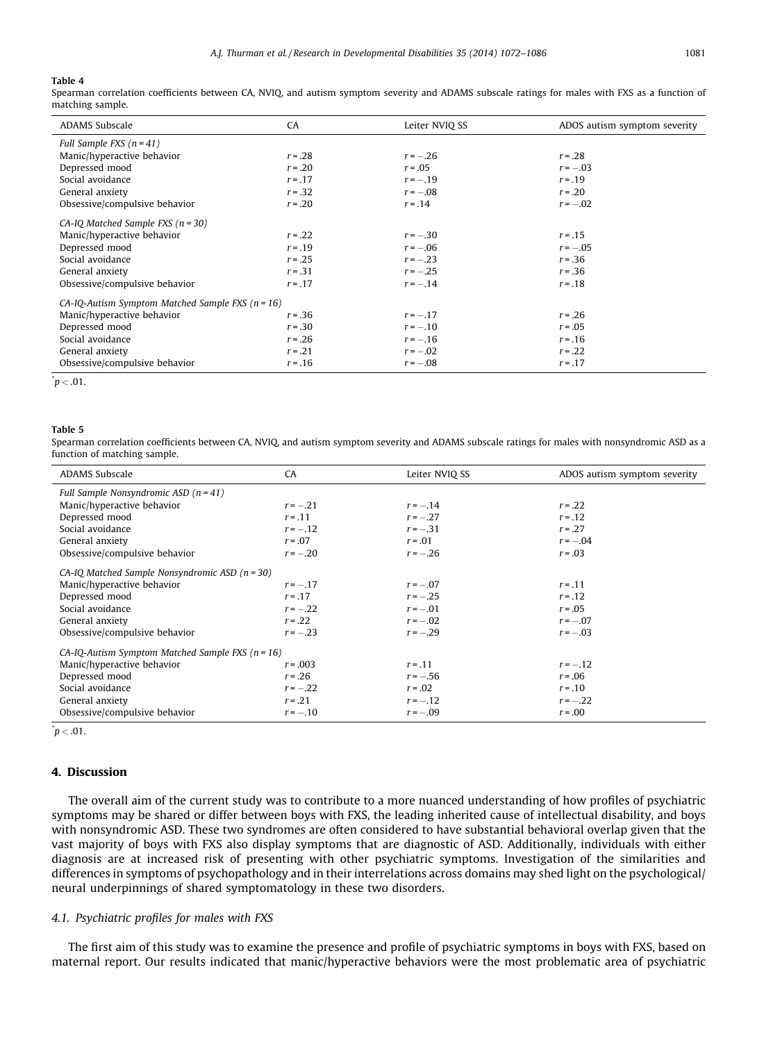## <span id="page-9-0"></span>Table 4

Spearman correlation coefficients between CA, NVIQ, and autism symptom severity and ADAMS subscale ratings for males with FXS as a function of matching sample.

| <b>ADAMS Subscale</b>                                  | CA        | Leiter NVIQ SS | ADOS autism symptom severity |  |
|--------------------------------------------------------|-----------|----------------|------------------------------|--|
| Full Sample FXS $(n = 41)$                             |           |                |                              |  |
| Manic/hyperactive behavior                             | $r = .28$ | $r = -.26$     | $r = .28$                    |  |
| Depressed mood                                         | $r = .20$ | $r = .05$      | $r = -.03$                   |  |
| Social avoidance                                       | $r = .17$ | $r = -.19$     | $r = .19$                    |  |
| General anxiety                                        | $r = .32$ | $r = -.08$     | $r = .20$                    |  |
| Obsessive/compulsive behavior                          | $r = .20$ | $r = .14$      | $r = -.02$                   |  |
| $CA-IQ$ Matched Sample FXS ( $n = 30$ )                |           |                |                              |  |
| Manic/hyperactive behavior                             | $r = .22$ | $r = -.30$     | $r = .15$                    |  |
| Depressed mood                                         | $r = .19$ | $r = -.06$     | $r = -.05$                   |  |
| Social avoidance                                       | $r = .25$ | $r = -.23$     | $r = .36$                    |  |
| General anxiety                                        | $r = .31$ | $r = -.25$     | $r = .36$                    |  |
| Obsessive/compulsive behavior                          | $r = .17$ | $r = -.14$     | $r = .18$                    |  |
| $CA-IQ-Autism$ Symptom Matched Sample FXS ( $n = 16$ ) |           |                |                              |  |
| Manic/hyperactive behavior                             | $r = .36$ | $r = -.17$     | $r = .26$                    |  |
| Depressed mood                                         | $r = .30$ | $r = -.10$     | $r = .05$                    |  |
| Social avoidance                                       | $r = .26$ | $r = -.16$     | $r = .16$                    |  |
| General anxiety                                        | $r = .21$ | $r = -.02$     | $r = .22$                    |  |
| Obsessive/compulsive behavior                          | $r = .16$ | $r = -.08$     | $r = .17$                    |  |

 $\degree p < .01$  .

## Table 5

Spearman correlation coefficients between CA, NVIQ, and autism symptom severity and ADAMS subscale ratings for males with nonsyndromic ASD as a function of matching sample.

| <b>ADAMS Subscale</b>                                  | CA         | Leiter NVIO SS | ADOS autism symptom severity |  |  |
|--------------------------------------------------------|------------|----------------|------------------------------|--|--|
| Full Sample Nonsyndromic ASD $(n = 41)$                |            |                |                              |  |  |
| Manic/hyperactive behavior                             | $r = -.21$ | $r = -.14$     | $r = .22$                    |  |  |
| Depressed mood                                         | $r = .11$  | $r = -.27$     | $r = .12$                    |  |  |
| Social avoidance                                       | $r = -.12$ | $r = -.31$     | $r = .27$                    |  |  |
| General anxiety                                        | $r = .07$  | $r = .01$      | $r = -.04$                   |  |  |
| Obsessive/compulsive behavior                          | $r = -.20$ | $r = -.26$     | $r = .03$                    |  |  |
| $CA$ -IQ Matched Sample Nonsyndromic ASD ( $n = 30$ )  |            |                |                              |  |  |
| Manic/hyperactive behavior                             | $r = -.17$ | $r = -.07$     | $r = .11$                    |  |  |
| Depressed mood                                         | $r = .17$  | $r = -.25$     | $r = .12$                    |  |  |
| Social avoidance                                       | $r = -.22$ | $r = -.01$     | $r = .05$                    |  |  |
| General anxiety                                        | $r = .22$  | $r = -.02$     | $r = -.07$                   |  |  |
| Obsessive/compulsive behavior                          | $r = -.23$ | $r = -.29$     | $r = -0.3$                   |  |  |
| $CA-IQ-Autism$ Symptom Matched Sample FXS ( $n = 16$ ) |            |                |                              |  |  |
| Manic/hyperactive behavior                             | $r = .003$ | $r = .11$      | $r = -.12$                   |  |  |
| Depressed mood                                         | $r = .26$  | $r = -.56$     | $r = .06$                    |  |  |
| Social avoidance                                       | $r = -.22$ | $r = .02$      | $r = .10$                    |  |  |
| General anxiety                                        | $r = .21$  | $r = -.12$     | $r = -.22$                   |  |  |
| Obsessive/compulsive behavior                          | $r = -.10$ | $r = -.09$     | $r = .00$                    |  |  |

 $\degree p < .01$ .

## 4. Discussion

The overall aim of the current study was to contribute to a more nuanced understanding of how profiles of psychiatric symptoms may be shared or differ between boys with FXS, the leading inherited cause of intellectual disability, and boys with nonsyndromic ASD. These two syndromes are often considered to have substantial behavioral overlap given that the vast majority of boys with FXS also display symptoms that are diagnostic of ASD. Additionally, individuals with either diagnosis are at increased risk of presenting with other psychiatric symptoms. Investigation of the similarities and differences in symptoms of psychopathology and in their interrelations across domains may shed light on the psychological/ neural underpinnings of shared symptomatology in these two disorders.

# 4.1. Psychiatric profiles for males with FXS

The first aim of this study was to examine the presence and profile of psychiatric symptoms in boys with FXS, based on maternal report. Our results indicated that manic/hyperactive behaviors were the most problematic area of psychiatric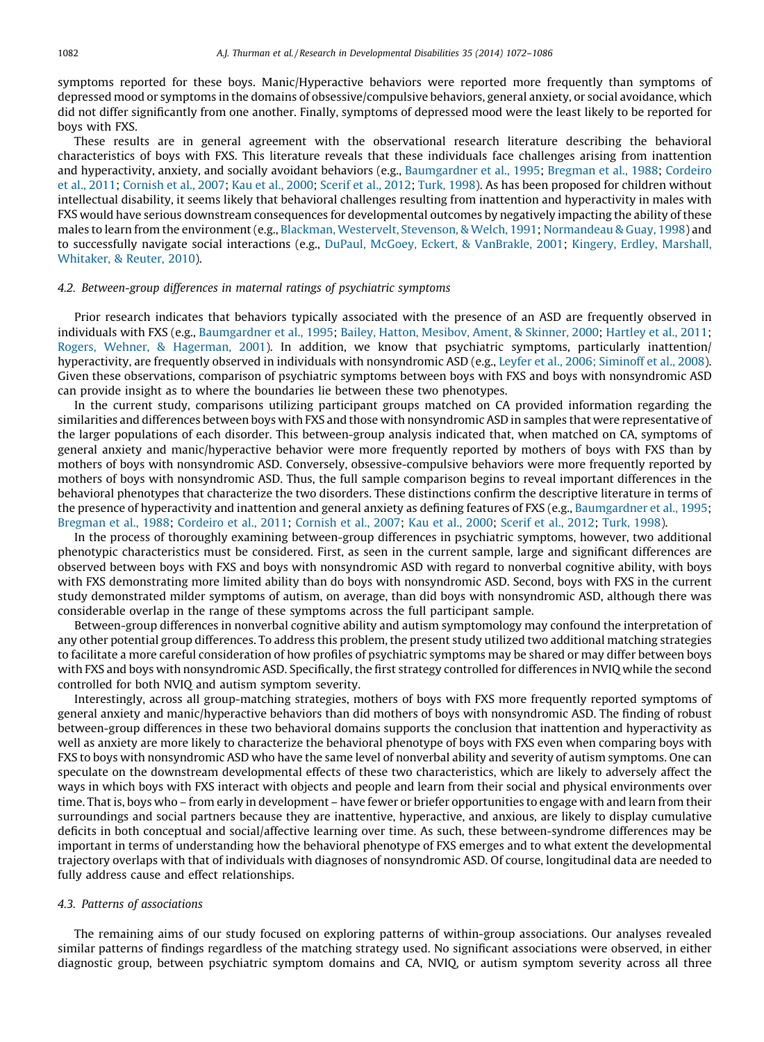symptoms reported for these boys. Manic/Hyperactive behaviors were reported more frequently than symptoms of depressed mood or symptoms in the domains of obsessive/compulsive behaviors, general anxiety, or social avoidance, which did not differ significantly from one another. Finally, symptoms of depressed mood were the least likely to be reported for boys with FXS.

These results are in general agreement with the observational research literature describing the behavioral characteristics of boys with FXS. This literature reveals that these individuals face challenges arising from inattention and hyperactivity, anxiety, and socially avoidant behaviors (e.g., [Baumgardner](#page-12-0) et al., 1995; [Bregman](#page-12-0) et al., 1988; [Cordeiro](#page-13-0) et al., [2011;](#page-13-0) [Cornish](#page-13-0) et al., 2007; Kau et al., [2000](#page-13-0); [Scerif](#page-13-0) et al., 2012; [Turk,](#page-14-0) 1998). As has been proposed for children without intellectual disability, it seems likely that behavioral challenges resulting from inattention and hyperactivity in males with FXS would have serious downstream consequences for developmental outcomes by negatively impacting the ability of these males to learn from the environment(e.g., Blackman, [Westervelt,](#page-12-0) Stevenson, & Welch, 1991; [Normandeau](#page-13-0) & Guay, 1998) and to successfully navigate social interactions (e.g., DuPaul, McGoey, Eckert, & [VanBrakle,](#page-13-0) 2001; Kingery, Erdley, [Marshall,](#page-13-0) [Whitaker,](#page-13-0) & Reuter, 2010).

# 4.2. Between-group differences in maternal ratings of psychiatric symptoms

Prior research indicates that behaviors typically associated with the presence of an ASD are frequently observed in individuals with FXS (e.g., [Baumgardner](#page-12-0) et al., 1995; Bailey, Hatton, [Mesibov,](#page-12-0) Ament, & Skinner, 2000; [Hartley](#page-13-0) et al., 2011; Rogers, Wehner, & [Hagerman,](#page-13-0) 2001). In addition, we know that psychiatric symptoms, particularly inattention/ hyperactivity, are frequently observed in individuals with nonsyndromic ASD (e.g., Leyfer et al., 2006; [Siminoff](#page-13-0) et al., 2008). Given these observations, comparison of psychiatric symptoms between boys with FXS and boys with nonsyndromic ASD can provide insight as to where the boundaries lie between these two phenotypes.

In the current study, comparisons utilizing participant groups matched on CA provided information regarding the similarities and differences between boys with FXS and those with nonsyndromic ASD in samples that were representative of the larger populations of each disorder. This between-group analysis indicated that, when matched on CA, symptoms of general anxiety and manic/hyperactive behavior were more frequently reported by mothers of boys with FXS than by mothers of boys with nonsyndromic ASD. Conversely, obsessive-compulsive behaviors were more frequently reported by mothers of boys with nonsyndromic ASD. Thus, the full sample comparison begins to reveal important differences in the behavioral phenotypes that characterize the two disorders. These distinctions confirm the descriptive literature in terms of the presence of hyperactivity and inattention and general anxiety as defining features of FXS (e.g., [Baumgardner](#page-12-0) et al., 1995; [Bregman](#page-12-0) et al., 1988; [Cordeiro](#page-13-0) et al., 2011; [Cornish](#page-13-0) et al., 2007; Kau et al., [2000](#page-13-0); [Scerif](#page-13-0) et al., 2012; Turk, [1998](#page-14-0)).

In the process of thoroughly examining between-group differences in psychiatric symptoms, however, two additional phenotypic characteristics must be considered. First, as seen in the current sample, large and significant differences are observed between boys with FXS and boys with nonsyndromic ASD with regard to nonverbal cognitive ability, with boys with FXS demonstrating more limited ability than do boys with nonsyndromic ASD. Second, boys with FXS in the current study demonstrated milder symptoms of autism, on average, than did boys with nonsyndromic ASD, although there was considerable overlap in the range of these symptoms across the full participant sample.

Between-group differences in nonverbal cognitive ability and autism symptomology may confound the interpretation of any other potential group differences. To address this problem, the present study utilized two additional matching strategies to facilitate a more careful consideration of how profiles of psychiatric symptoms may be shared or may differ between boys with FXS and boys with nonsyndromic ASD. Specifically, the first strategy controlled for differences in NVIQ while the second controlled for both NVIQ and autism symptom severity.

Interestingly, across all group-matching strategies, mothers of boys with FXS more frequently reported symptoms of general anxiety and manic/hyperactive behaviors than did mothers of boys with nonsyndromic ASD. The finding of robust between-group differences in these two behavioral domains supports the conclusion that inattention and hyperactivity as well as anxiety are more likely to characterize the behavioral phenotype of boys with FXS even when comparing boys with FXS to boys with nonsyndromic ASD who have the same level of nonverbal ability and severity of autism symptoms. One can speculate on the downstream developmental effects of these two characteristics, which are likely to adversely affect the ways in which boys with FXS interact with objects and people and learn from their social and physical environments over time. That is, boys who – from early in development – have fewer or briefer opportunities to engage with and learn from their surroundings and social partners because they are inattentive, hyperactive, and anxious, are likely to display cumulative deficits in both conceptual and social/affective learning over time. As such, these between-syndrome differences may be important in terms of understanding how the behavioral phenotype of FXS emerges and to what extent the developmental trajectory overlaps with that of individuals with diagnoses of nonsyndromic ASD. Of course, longitudinal data are needed to fully address cause and effect relationships.

## 4.3. Patterns of associations

The remaining aims of our study focused on exploring patterns of within-group associations. Our analyses revealed similar patterns of findings regardless of the matching strategy used. No significant associations were observed, in either diagnostic group, between psychiatric symptom domains and CA, NVIQ, or autism symptom severity across all three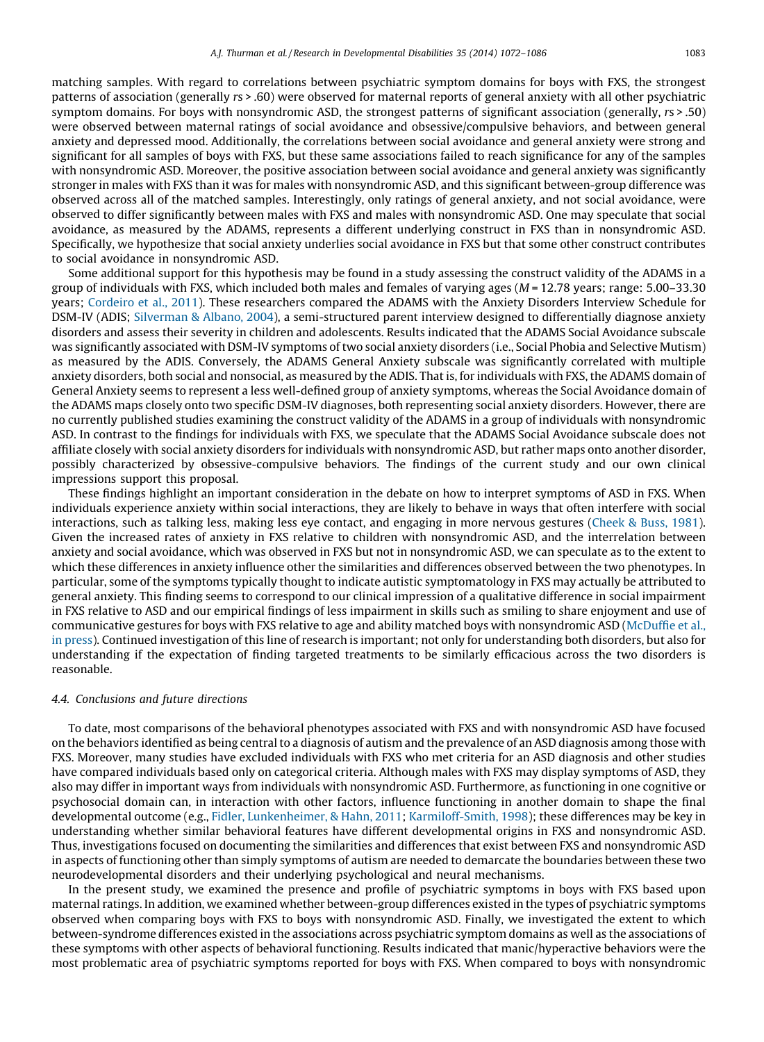matching samples. With regard to correlations between psychiatric symptom domains for boys with FXS, the strongest patterns of association (generally rs > .60) were observed for maternal reports of general anxiety with all other psychiatric symptom domains. For boys with nonsyndromic ASD, the strongest patterns of significant association (generally, rs > .50) were observed between maternal ratings of social avoidance and obsessive/compulsive behaviors, and between general anxiety and depressed mood. Additionally, the correlations between social avoidance and general anxiety were strong and significant for all samples of boys with FXS, but these same associations failed to reach significance for any of the samples with nonsyndromic ASD. Moreover, the positive association between social avoidance and general anxiety was significantly stronger in males with FXS than it was for males with nonsyndromic ASD, and this significant between-group difference was observed across all of the matched samples. Interestingly, only ratings of general anxiety, and not social avoidance, were observed to differ significantly between males with FXS and males with nonsyndromic ASD. One may speculate that social avoidance, as measured by the ADAMS, represents a different underlying construct in FXS than in nonsyndromic ASD. Specifically, we hypothesize that social anxiety underlies social avoidance in FXS but that some other construct contributes to social avoidance in nonsyndromic ASD.

Some additional support for this hypothesis may be found in a study assessing the construct validity of the ADAMS in a group of individuals with FXS, which included both males and females of varying ages  $(M = 12.78$  years; range:  $5.00-33.30$ years; [Cordeiro](#page-13-0) et al., 2011). These researchers compared the ADAMS with the Anxiety Disorders Interview Schedule for DSM-IV (ADIS; [Silverman](#page-14-0) & Albano, 2004), a semi-structured parent interview designed to differentially diagnose anxiety disorders and assess their severity in children and adolescents. Results indicated that the ADAMS Social Avoidance subscale was significantly associated with DSM-IV symptoms of two social anxiety disorders (i.e., Social Phobia and Selective Mutism) as measured by the ADIS. Conversely, the ADAMS General Anxiety subscale was significantly correlated with multiple anxiety disorders, both social and nonsocial, as measured by the ADIS. That is, for individuals with FXS, the ADAMS domain of General Anxiety seems to represent a less well-defined group of anxiety symptoms, whereas the Social Avoidance domain of the ADAMS maps closely onto two specific DSM-IV diagnoses, both representing social anxiety disorders. However, there are no currently published studies examining the construct validity of the ADAMS in a group of individuals with nonsyndromic ASD. In contrast to the findings for individuals with FXS, we speculate that the ADAMS Social Avoidance subscale does not affiliate closely with social anxiety disorders for individuals with nonsyndromic ASD, but rather maps onto another disorder, possibly characterized by obsessive-compulsive behaviors. The findings of the current study and our own clinical impressions support this proposal.

These findings highlight an important consideration in the debate on how to interpret symptoms of ASD in FXS. When individuals experience anxiety within social interactions, they are likely to behave in ways that often interfere with social interactions, such as talking less, making less eye contact, and engaging in more nervous gestures [\(Cheek](#page-12-0) & Buss, 1981). Given the increased rates of anxiety in FXS relative to children with nonsyndromic ASD, and the interrelation between anxiety and social avoidance, which was observed in FXS but not in nonsyndromic ASD, we can speculate as to the extent to which these differences in anxiety influence other the similarities and differences observed between the two phenotypes. In particular, some of the symptoms typically thought to indicate autistic symptomatology in FXS may actually be attributed to general anxiety. This finding seems to correspond to our clinical impression of a qualitative difference in social impairment in FXS relative to ASD and our empirical findings of less impairment in skills such as smiling to share enjoyment and use of communicative gestures for boys with FXS relative to age and ability matched boys with nonsyndromic ASD ([McDuffie](#page-13-0) et al., in [press\)](#page-13-0). Continued investigation of this line of research is important; not only for understanding both disorders, but also for understanding if the expectation of finding targeted treatments to be similarly efficacious across the two disorders is reasonable.

# 4.4. Conclusions and future directions

To date, most comparisons of the behavioral phenotypes associated with FXS and with nonsyndromic ASD have focused on the behaviors identified as being central to a diagnosis of autism and the prevalence of an ASD diagnosis among those with FXS. Moreover, many studies have excluded individuals with FXS who met criteria for an ASD diagnosis and other studies have compared individuals based only on categorical criteria. Although males with FXS may display symptoms of ASD, they also may differ in important ways from individuals with nonsyndromic ASD. Furthermore, as functioning in one cognitive or psychosocial domain can, in interaction with other factors, influence functioning in another domain to shape the final developmental outcome (e.g., Fidler, [Lunkenheimer,](#page-13-0) & Hahn, 2011; [Karmiloff-Smith,](#page-13-0) 1998); these differences may be key in understanding whether similar behavioral features have different developmental origins in FXS and nonsyndromic ASD. Thus, investigations focused on documenting the similarities and differences that exist between FXS and nonsyndromic ASD in aspects of functioning other than simply symptoms of autism are needed to demarcate the boundaries between these two neurodevelopmental disorders and their underlying psychological and neural mechanisms.

In the present study, we examined the presence and profile of psychiatric symptoms in boys with FXS based upon maternal ratings. In addition, we examined whether between-group differences existed in the types of psychiatric symptoms observed when comparing boys with FXS to boys with nonsyndromic ASD. Finally, we investigated the extent to which between-syndrome differences existed in the associations across psychiatric symptom domains as well as the associations of these symptoms with other aspects of behavioral functioning. Results indicated that manic/hyperactive behaviors were the most problematic area of psychiatric symptoms reported for boys with FXS. When compared to boys with nonsyndromic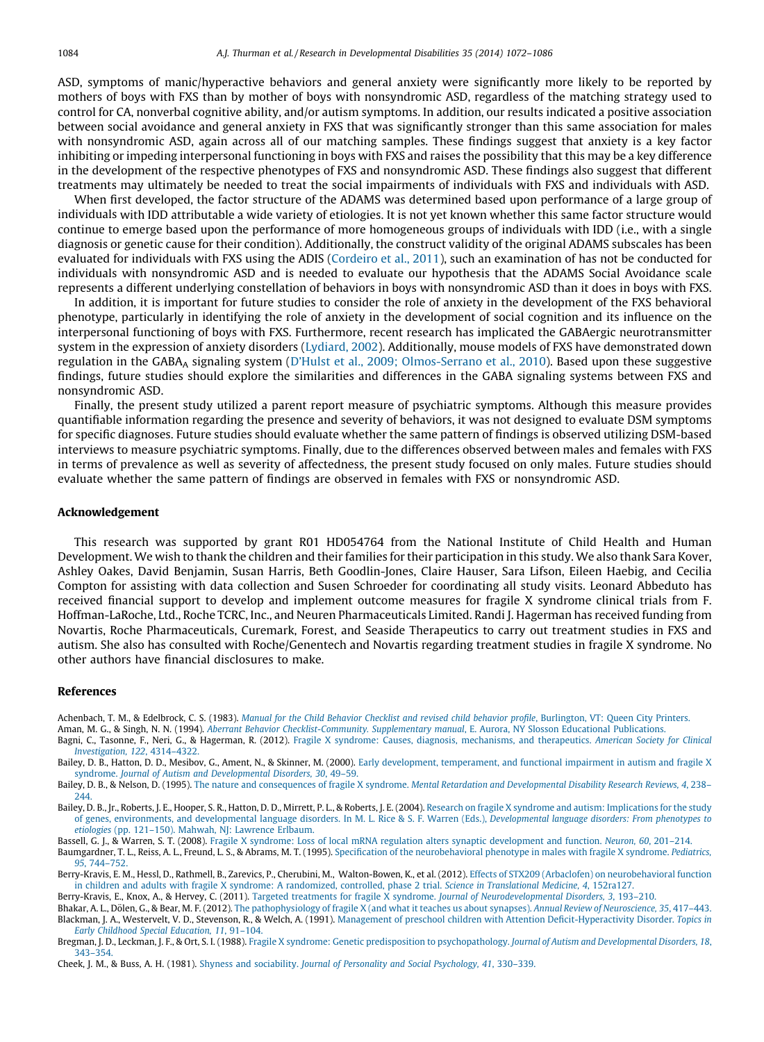<span id="page-12-0"></span>ASD, symptoms of manic/hyperactive behaviors and general anxiety were significantly more likely to be reported by mothers of boys with FXS than by mother of boys with nonsyndromic ASD, regardless of the matching strategy used to control for CA, nonverbal cognitive ability, and/or autism symptoms. In addition, our results indicated a positive association between social avoidance and general anxiety in FXS that was significantly stronger than this same association for males with nonsyndromic ASD, again across all of our matching samples. These findings suggest that anxiety is a key factor inhibiting or impeding interpersonal functioning in boys with FXS and raises the possibility that this may be a key difference in the development of the respective phenotypes of FXS and nonsyndromic ASD. These findings also suggest that different treatments may ultimately be needed to treat the social impairments of individuals with FXS and individuals with ASD.

When first developed, the factor structure of the ADAMS was determined based upon performance of a large group of individuals with IDD attributable a wide variety of etiologies. It is not yet known whether this same factor structure would continue to emerge based upon the performance of more homogeneous groups of individuals with IDD (i.e., with a single diagnosis or genetic cause for their condition). Additionally, the construct validity of the original ADAMS subscales has been evaluated for individuals with FXS using the ADIS [\(Cordeiro](#page-13-0) et al., 2011), such an examination of has not be conducted for individuals with nonsyndromic ASD and is needed to evaluate our hypothesis that the ADAMS Social Avoidance scale represents a different underlying constellation of behaviors in boys with nonsyndromic ASD than it does in boys with FXS.

In addition, it is important for future studies to consider the role of anxiety in the development of the FXS behavioral phenotype, particularly in identifying the role of anxiety in the development of social cognition and its influence on the interpersonal functioning of boys with FXS. Furthermore, recent research has implicated the GABAergic neurotransmitter system in the expression of anxiety disorders ([Lydiard,](#page-13-0) 2002). Additionally, mouse models of FXS have demonstrated down regulation in the GABA<sub>A</sub> signaling system (D'Hulst et al., 2009; [Olmos-Serrano](#page-13-0) et al., 2010). Based upon these suggestive findings, future studies should explore the similarities and differences in the GABA signaling systems between FXS and nonsyndromic ASD.

Finally, the present study utilized a parent report measure of psychiatric symptoms. Although this measure provides quantifiable information regarding the presence and severity of behaviors, it was not designed to evaluate DSM symptoms for specific diagnoses. Future studies should evaluate whether the same pattern of findings is observed utilizing DSM-based interviews to measure psychiatric symptoms. Finally, due to the differences observed between males and females with FXS in terms of prevalence as well as severity of affectedness, the present study focused on only males. Future studies should evaluate whether the same pattern of findings are observed in females with FXS or nonsyndromic ASD.

## Acknowledgement

This research was supported by grant R01 HD054764 from the National Institute of Child Health and Human Development. We wish to thank the children and their families for their participation in this study. We also thank Sara Kover, Ashley Oakes, David Benjamin, Susan Harris, Beth Goodlin-Jones, Claire Hauser, Sara Lifson, Eileen Haebig, and Cecilia Compton for assisting with data collection and Susen Schroeder for coordinating all study visits. Leonard Abbeduto has received financial support to develop and implement outcome measures for fragile X syndrome clinical trials from F. Hoffman-LaRoche, Ltd., Roche TCRC, Inc., and Neuren Pharmaceuticals Limited. Randi J. Hagerman has received funding from Novartis, Roche Pharmaceuticals, Curemark, Forest, and Seaside Therapeutics to carry out treatment studies in FXS and autism. She also has consulted with Roche/Genentech and Novartis regarding treatment studies in fragile X syndrome. No other authors have financial disclosures to make.

## References

Achenbach, T. M., & Edelbrock, C. S. (1983). Manual for the Child Behavior Checklist and revised child behavior profile, [Burlington,](http://refhub.elsevier.com/S0891-4222(14)00056-0/sbref0005) VT: Queen City Printers. Aman, M. G., & Singh, N. N. (1994). Aberrant Behavior [Checklist-Community.](http://refhub.elsevier.com/S0891-4222(14)00056-0/sbref0010) Supplementary manual, E. Aurora, NY Slosson Educational Publications.

- Bagni, C., Tasonne, F., Neri, G., & Hagerman, R. (2012). Fragile X syndrome: Causes, diagnosis, [mechanisms,](http://refhub.elsevier.com/S0891-4222(14)00056-0/sbref0015) and therapeutics. American Society for Clinical [Investigation,](http://refhub.elsevier.com/S0891-4222(14)00056-0/sbref0015) 122, 4314–4322.
- Bailey, D. B., Hatton, D. D., Mesibov, G., Ament, N., & Skinner, M. (2000). Early development, [temperament,](http://refhub.elsevier.com/S0891-4222(14)00056-0/sbref0020) and functional impairment in autism and fragile X syndrome. Journal of Autism and [Developmental](http://refhub.elsevier.com/S0891-4222(14)00056-0/sbref0020) Disorders, 30, 49–59.

Bailey, D. B., & Nelson, D. (1995). The nature and consequences of fragile X syndrome. Mental Retardation and [Developmental](http://refhub.elsevier.com/S0891-4222(14)00056-0/sbref0025) Disability Research Reviews, 4, 238–  $244.$  $244.$ 

Bailey, D. B., Jr., Roberts, J. E., Hooper, S. R., Hatton, D. D., Mirrett, P. L., & Roberts, J. E. (2004). Research on fragile X syndrome and autism: [Implications](http://refhub.elsevier.com/S0891-4222(14)00056-0/sbref0030) for the study of genes, environments, and [developmental](http://refhub.elsevier.com/S0891-4222(14)00056-0/sbref0030) language disorders. In M. L. Rice & S. F. Warren (Eds.), Developmental language disorders: From phenotypes to etiologies (pp. 121-150). Mahwah, NJ: Lawrence Erlbaum.

Bassell, G. J., & Warren, S. T. (2008). Fragile X syndrome: Loss of local mRNA regulation alters synaptic [development](http://refhub.elsevier.com/S0891-4222(14)00056-0/sbref0035) and function. Neuron, 60, 201–214.

Baumgardner, T. L., Reiss, A. L., Freund, L. S., & Abrams, M. T. (1995). Specification of the [neurobehavioral](http://refhub.elsevier.com/S0891-4222(14)00056-0/sbref0040) phenotype in males with fragile X syndrome. Pediatrics, 95, [744–752.](http://refhub.elsevier.com/S0891-4222(14)00056-0/sbref0040)

Berry-Kravis, E. M., Hessl, D., Rathmell, B., Zarevics, P., Cherubini, M., Walton-Bowen, K., et al. (2012). Effects of STX209 (Arbaclofen) on [neurobehavioral](http://refhub.elsevier.com/S0891-4222(14)00056-0/sbref0045) function in children and adults with fragile X syndrome: A randomized, controlled, phase 2 trial. Science in [Translational](http://refhub.elsevier.com/S0891-4222(14)00056-0/sbref0045) Medicine, 4, 152ra127.

Berry-Kravis, E., Knox, A., & Hervey, C. (2011). Targeted treatments for fragile X syndrome. Journal of [Neurodevelopmental](http://refhub.elsevier.com/S0891-4222(14)00056-0/sbref0050) Disorders, 3, 193-210.

Bhakar, A. L., Dölen, G., & Bear, M. F. (2012). The [pathophysiology](http://refhub.elsevier.com/S0891-4222(14)00056-0/sbref0055) of fragile X (and what it teaches us about synapses). Annual Review of Neuroscience, 35, 417–443. Blackman, J. A., Westervelt, V. D., Stevenson, R., & Welch, A. (1991). Management of preschool children with Attention [Deficit-Hyperactivity](http://refhub.elsevier.com/S0891-4222(14)00056-0/sbref0060) Disorder. Topics in Early Childhood Special [Education,](http://refhub.elsevier.com/S0891-4222(14)00056-0/sbref0060) 11, 91–104.

Bregman, J. D., Leckman, J. F., & Ort, S. I. (1988). Fragile X syndrome: Genetic predisposition to [psychopathology.](http://refhub.elsevier.com/S0891-4222(14)00056-0/sbref0065) Journal of Autism and Developmental Disorders, 18, [343–354](http://refhub.elsevier.com/S0891-4222(14)00056-0/sbref0065).

Cheek, J. M., & Buss, A. H. (1981). Shyness and sociability. Journal of Personality and Social [Psychology,](http://refhub.elsevier.com/S0891-4222(14)00056-0/sbref0070) 41, 330–339.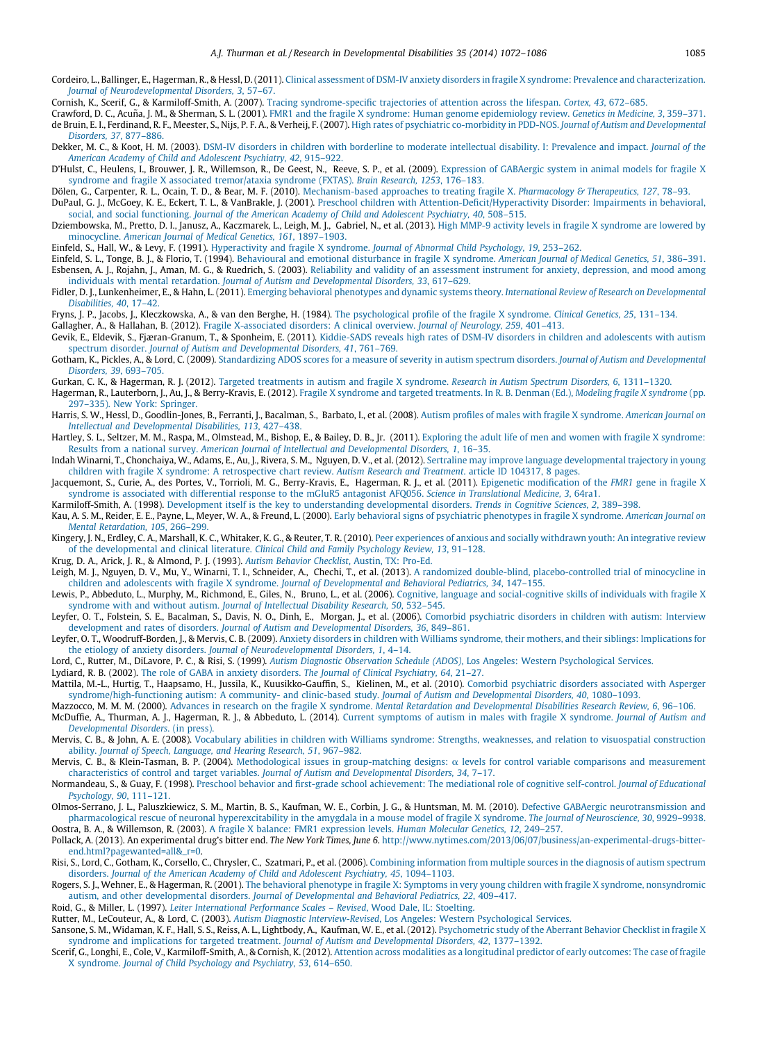- <span id="page-13-0"></span>Cordeiro, L., Ballinger, E., Hagerman, R., & Hessl, D.(2011). Clinical assessment of DSM-IV anxiety disorders in fragile X syndrome: Prevalence and [characterization.](http://refhub.elsevier.com/S0891-4222(14)00056-0/sbref0075) Journal of [Neurodevelopmental](http://refhub.elsevier.com/S0891-4222(14)00056-0/sbref0075) Disorders, 3, 57–67.
- Cornish, K., Scerif, G., & Karmiloff-Smith, A. (2007). Tracing [syndrome-specific](http://refhub.elsevier.com/S0891-4222(14)00056-0/sbref0080) trajectories of attention across the lifespan. Cortex, 43, 672–685.
- Crawford, D. C., Acuña, J. M., & Sherman, S. L. (2001). FMR1 and the fragile X syndrome: Human genome [epidemiology](http://refhub.elsevier.com/S0891-4222(14)00056-0/sbref0085) review. Genetics in Medicine, 3, 359-371. de Bruin, E. I., Ferdinand, R. F., Meester, S., Nijs, P. F. A., & Verheij, F. (2007). High rates of psychiatric co-morbidity in PDD-NOS. Journal of Autism and [Developmental](http://refhub.elsevier.com/S0891-4222(14)00056-0/sbref0090) [Disorders,](http://refhub.elsevier.com/S0891-4222(14)00056-0/sbref0090) 37, 877–886.
- Dekker, M. C., & Koot, H. M. (2003). DSM-IV disorders in children with borderline to moderate [intellectual](http://refhub.elsevier.com/S0891-4222(14)00056-0/sbref0095) disability. I: Prevalence and impact. Journal of the American Academy of Child and Adolescent [Psychiatry,](http://refhub.elsevier.com/S0891-4222(14)00056-0/sbref0095) 42, 915–922.

D'Hulst, C., Heulens, I., Brouwer, J. R., Willemson, R., De Geest, N., Reeve, S. P., et al. (2009). [Expression](http://refhub.elsevier.com/S0891-4222(14)00056-0/sbref0100) of GABAergic system in animal models for fragile X syndrome and fragile X associated [tremor/ataxia](http://refhub.elsevier.com/S0891-4222(14)00056-0/sbref0100) syndrome (FXTAS). Brain Research, 1253, 176–183.

- Dölen, G., Carpenter, R. L., Ocain, T. D., & Bear, M. F. (2010). [Mechanism-based](http://refhub.elsevier.com/S0891-4222(14)00056-0/sbref0105) approaches to treating fragile X. Pharmacology & Therapeutics, 127, 78–93.
- DuPaul, G. J., McGoey, K. E., Eckert, T. L., & VanBrakle, J. (2001). Preschool children with [Attention-Deficit/Hyperactivity](http://refhub.elsevier.com/S0891-4222(14)00056-0/sbref0110) Disorder: Impairments in behavioral, social, and social [functioning.](http://refhub.elsevier.com/S0891-4222(14)00056-0/sbref0110) Journal of the American Academy of Child and Adolescent Psychiatry, 40, 508–515.
- Dziembowska, M., Pretto, D. I., Janusz, A., Kaczmarek, L., Leigh, M. J., Gabriel, N., et al. (2013). High MMP-9 activity levels in fragile X [syndrome](http://refhub.elsevier.com/S0891-4222(14)00056-0/sbref0115) are lowered by [minocycline.](http://refhub.elsevier.com/S0891-4222(14)00056-0/sbref0115) American Journal of Medical Genetics, 161, 1897–1903.

Einfeld, S., Hall, W., & Levy, F. (1991). [Hyperactivity](http://refhub.elsevier.com/S0891-4222(14)00056-0/sbref0120) and fragile X syndrome. Journal of Abnormal Child Psychology, 19, 253–262.

- Einfeld, S. L., Tonge, B. J., & Florio, T. (1994). [Behavioural](http://refhub.elsevier.com/S0891-4222(14)00056-0/sbref0125) and emotional disturbance in fragile X syndrome. American Journal of Medical Genetics, 51, 386–391. Esbensen, A. J., Rojahn, J., Aman, M. G., & Ruedrich, S. (2003). Reliability and validity of an [assessment](http://refhub.elsevier.com/S0891-4222(14)00056-0/sbref0130) instrument for anxiety, depression, and mood among individuals with mental retardation. Journal of Autism and [Developmental](http://refhub.elsevier.com/S0891-4222(14)00056-0/sbref0130) Disorders, 33, 617–629.
- Fidler, D. J., Lunkenheimer, E., & Hahn, L. (2011). Emerging behavioral phenotypes and dynamic systems theory. International Review of Research on [Developmental](http://refhub.elsevier.com/S0891-4222(14)00056-0/sbref0135) [Disabilities,](http://refhub.elsevier.com/S0891-4222(14)00056-0/sbref0135) 40, 17–42.
- Fryns, J. P., Jacobs, J., Kleczkowska, A., & van den Berghe, H. (1984). The [psychological](http://refhub.elsevier.com/S0891-4222(14)00056-0/sbref0140) profile of the fragile X syndrome. Clinical Genetics, 25, 131–134.

Gallagher, A., & Hallahan, B. (2012). Fragile [X-associated](http://refhub.elsevier.com/S0891-4222(14)00056-0/sbref0145) disorders: A clinical overview. Journal of Neurology, 259, 401–413.

- Gevik, E., Eldevik, S., Fjæran-Granum, T., & Sponheim, E. (2011). [Kiddie-SADS](http://refhub.elsevier.com/S0891-4222(14)00056-0/sbref0150) reveals high rates of DSM-IV disorders in children and adolescents with autism spectrum disorder. Journal of Autism and [Developmental](http://refhub.elsevier.com/S0891-4222(14)00056-0/sbref0150) Disorders, 41, 761–769.
- Gotham, K., Pickles, A., & Lord, C. (2009). Standardizing ADOS scores for a measure of severity in autism spectrum disorders. Journal of Autism and [Developmental](http://refhub.elsevier.com/S0891-4222(14)00056-0/sbref0155) [Disorders,](http://refhub.elsevier.com/S0891-4222(14)00056-0/sbref0155) 39, 693–705.
- Gurkan, C. K., & Hagerman, R. J. (2012). Targeted treatments in autism and fragile X syndrome. Research in Autism Spectrum Disorders, 6, [1311–1320.](http://refhub.elsevier.com/S0891-4222(14)00056-0/sbref0160)
- Hagerman, R., Lauterborn, J., Au, J., & Berry-Kravis, E. (2012). Fragile X syndrome and targeted [treatments.](http://refhub.elsevier.com/S0891-4222(14)00056-0/sbref0165) In R. B. Denman (Ed.), Modeling fragile X syndrome (pp. [297–335\).](http://refhub.elsevier.com/S0891-4222(14)00056-0/sbref0165) New York: Springer.
- Harris, S. W., Hessl, D., Goodlin-Jones, B., Ferranti, J., Bacalman, S., Barbato, I., et al. (2008). Autism profiles of males with fragile X [syndrome.](http://refhub.elsevier.com/S0891-4222(14)00056-0/sbref0170) American Journal on Intellectual and [Developmental](http://refhub.elsevier.com/S0891-4222(14)00056-0/sbref0170) Disabilities, 113, 427–438.
- Hartley, S. L., Seltzer, M. M., Raspa, M., Olmstead, M., Bishop, E., & Bailey, D. B., Jr. (2011). Exploring the adult life of men and women with fragile X [syndrome:](http://refhub.elsevier.com/S0891-4222(14)00056-0/sbref0175) Results from a national survey. American Journal of Intellectual and [Developmental](http://refhub.elsevier.com/S0891-4222(14)00056-0/sbref0175) Disorders, 1, 16–35.
- Indah Winarni, T., Chonchaiya, W., Adams, E., Au, J., Rivera, S. M., Nguyen, D. V., et al. (2012). Sertraline may improve language [developmental](http://refhub.elsevier.com/S0891-4222(14)00056-0/sbref0180) trajectory in young children with fragile X syndrome: A [retrospective](http://refhub.elsevier.com/S0891-4222(14)00056-0/sbref0180) chart review. Autism Research and Treatment. article ID 104317, 8 pages.
- Jacquemont, S., Curie, A., des Portes, V., Torrioli, M. G., Berry-Kravis, E., Hagerman, R. J., et al. (2011). Epigenetic [modification](http://refhub.elsevier.com/S0891-4222(14)00056-0/sbref0185) of the FMR1 gene in fragile X syndrome is associated with differential response to the mGluR5 antagonist AFQ056. Science in [Translational](http://refhub.elsevier.com/S0891-4222(14)00056-0/sbref0185) Medicine, 3, 64ra1.
- Karmiloff-Smith, A. (1998). Development itself is the key to understanding [developmental](http://refhub.elsevier.com/S0891-4222(14)00056-0/sbref0190) disorders. Trends in Cognitive Sciences, 2, 389–398.
- Kau, A. S. M., Reider, E. E., Payne, L., Meyer, W. A., & Freund, L. (2000). Early behavioral signs of psychiatric [phenotypes](http://refhub.elsevier.com/S0891-4222(14)00056-0/sbref0195) in fragile X syndrome. American Journal on Mental [Retardation,](http://refhub.elsevier.com/S0891-4222(14)00056-0/sbref0195) 105, 266–299.
- Kingery, J. N., Erdley, C. A., Marshall, K. C., Whitaker, K. G., & Reuter, T. R. (2010). Peer [experiences](http://refhub.elsevier.com/S0891-4222(14)00056-0/sbref0200) of anxious and socially withdrawn youth: An integrative review of the [developmental](http://refhub.elsevier.com/S0891-4222(14)00056-0/sbref0200) and clinical literature. Clinical Child and Family Psychology Review, 13, 91–128.
- Krug, D. A., Arick, J. R., & Almond, P. J. (1993). Autism Behavior [Checklist](http://refhub.elsevier.com/S0891-4222(14)00056-0/sbref0205), Austin, TX: Pro-Ed.
- Leigh, M. J., Nguyen, D. V., Mu, Y., Winarni, T. I., Schneider, A., Chechi, T., et al. (2013). A randomized double-blind, [placebo-controlled](http://refhub.elsevier.com/S0891-4222(14)00056-0/sbref0210) trial of minocycline in children and adolescents with fragile X syndrome. Journal of [Developmental](http://refhub.elsevier.com/S0891-4222(14)00056-0/sbref0210) and Behavioral Pediatrics, 34, 147–155.
- Lewis, P., Abbeduto, L., Murphy, M., Richmond, E., Giles, N., Bruno, L., et al. (2006). Cognitive, language and [social-cognitive](http://refhub.elsevier.com/S0891-4222(14)00056-0/sbref0215) skills of individuals with fragile X syndrome with and without autism. Journal of [Intellectual](http://refhub.elsevier.com/S0891-4222(14)00056-0/sbref0215) Disability Research, 50, 532–545.
- Leyfer, O. T., Folstein, S. E., Bacalman, S., Davis, N. O., Dinh, E., Morgan, J., et al. (2006). Comorbid [psychiatric](http://refhub.elsevier.com/S0891-4222(14)00056-0/sbref0220) disorders in children with autism: Interview development and rates of disorders. Journal of Autism and [Developmental](http://refhub.elsevier.com/S0891-4222(14)00056-0/sbref0220) Disorders, 36, 849–861.
- Leyfer, O. T., Woodruff-Borden, J., & Mervis, C. B. (2009). Anxiety disorders in children with Williams syndrome, their mothers, and their siblings: [Implications](http://refhub.elsevier.com/S0891-4222(14)00056-0/sbref0225) for the etiology of anxiety disorders. Journal of [Neurodevelopmental](http://refhub.elsevier.com/S0891-4222(14)00056-0/sbref0225) Disorders, 1, 4–14.
- Lord, C., Rutter, M., DiLavore, P. C., & Risi, S. (1999). Autism Diagnostic Observation Schedule (ADOS), Los Angeles: Western [Psychological](http://refhub.elsevier.com/S0891-4222(14)00056-0/sbref0230) Services.
- Lydiard, R. B. (2002). The role of GABA in anxiety disorders. The Journal of Clinical [Psychiatry,](http://refhub.elsevier.com/S0891-4222(14)00056-0/sbref0235) 64, 21–27.
- Mattila, M.-L., Hurtig, T., Haapsamo, H., Jussila, K., Kuusikko-Gauffin, S., Kielinen, M., et al. (2010). Comorbid [psychiatric](http://refhub.elsevier.com/S0891-4222(14)00056-0/sbref0240) disorders associated with Asperger [syndrome/high-functioning](http://refhub.elsevier.com/S0891-4222(14)00056-0/sbref0240) autism: A community- and clinic-based study. Journal of Autism and Developmental Disorders, 40, 1080–1093.
- Mazzocco, M. M. M. (2000). Advances in research on the fragile X syndrome. Mental Retardation and [Developmental](http://refhub.elsevier.com/S0891-4222(14)00056-0/sbref0245) Disabilities Research Review, 6, 96–106.
- McDuffie, A., Thurman, A. J., Hagerman, R. J., & Abbeduto, L. (2014). Current symptoms of autism in males with fragile X [syndrome.](http://refhub.elsevier.com/S0891-4222(14)00056-0/sbref0250) Journal of Autism and [Developmental](http://refhub.elsevier.com/S0891-4222(14)00056-0/sbref0250) Disorders. (in press).
- Mervis, C. B., & John, A. E. (2008). Vocabulary abilities in children with Williams syndrome: Strengths, weaknesses, and relation to visuospatial [construction](http://refhub.elsevier.com/S0891-4222(14)00056-0/sbref0255) ability. Journal of Speech, [Language,](http://refhub.elsevier.com/S0891-4222(14)00056-0/sbref0255) and Hearing Research, 51, 967–982.
- Mervis, C. B., & Klein-Tasman, B. P. (2004). Methodological issues in [group-matching](http://refhub.elsevier.com/S0891-4222(14)00056-0/sbref0260) designs:  $\alpha$  $\alpha$  $\alpha$  levels for control variable comparisons and [measurement](http://refhub.elsevier.com/S0891-4222(14)00056-0/sbref0260) [characteristics](http://refhub.elsevier.com/S0891-4222(14)00056-0/sbref0260) of control and target variables. Journal of Autism and Developmental Disorders, 34, 7-17.
- Normandeau, S., & Guay, F. (1998). Preschool behavior and first-grade school [achievement:](http://refhub.elsevier.com/S0891-4222(14)00056-0/sbref0265) The mediational role of cognitive self-control. Journal of Educational [Psychology,](http://refhub.elsevier.com/S0891-4222(14)00056-0/sbref0265) 90, 111–121.
- Olmos-Serrano, J. L., Paluszkiewicz, S. M., Martin, B. S., Kaufman, W. E., Corbin, J. G., & Huntsman, M. M. (2010). Defective GABAergic [neurotransmission](http://refhub.elsevier.com/S0891-4222(14)00056-0/sbref0270) and pharmacological rescue of neuronal [hyperexcitability](http://refhub.elsevier.com/S0891-4222(14)00056-0/sbref0270) in the amygdala in a mouse model of fragile X syndrome. The Journal of Neuroscience, 30, 9929-9938. Oostra, B. A., & Willemson, R. (2003). A fragile X balance: FMR1 [expression](http://refhub.elsevier.com/S0891-4222(14)00056-0/sbref0275) levels. Human Molecular Genetics, 12, 249–257.
- Pollack, A. (2013). An experimental drug's bitter end. The New York Times, June 6. [http://www.nytimes.com/2013/06/07/business/an-experimental-drugs-bitter](http://www.nytimes.com/2013/06/07/business/an-experimental-drugs-bitter-end.html?pagewanted=all&_r=0)end.html?pagewanted=all&r=0.
- Risi, S., Lord, C., Gotham, K., Corsello, C., Chrysler, C., Szatmari, P., et al. (2006). Combining [information](http://refhub.elsevier.com/S0891-4222(14)00056-0/sbref0285) from multiple sources in the diagnosis of autism spectrum disorders. Journal of the American Academy of Child and Adolescent Psychiatry, 45, [1094–1103](http://refhub.elsevier.com/S0891-4222(14)00056-0/sbref0285).
- Rogers, S. J., Wehner, E., & Hagerman, R. (2001). The behavioral phenotype in fragile X: Symptoms in very young children with fragile X syndrome, [nonsyndromic](http://refhub.elsevier.com/S0891-4222(14)00056-0/sbref0290) autism, and other [developmental](http://refhub.elsevier.com/S0891-4222(14)00056-0/sbref0290) disorders. Journal of Developmental and Behavioral Pediatrics, 22, 409–417.
- Roid, G., & Miller, L. (1997). Leiter [International](http://refhub.elsevier.com/S0891-4222(14)00056-0/sbref0295) Performance Scales Revised, Wood Dale, IL: Stoelting.

Rutter, M., LeCouteur, A., & Lord, C. (2003). Autism Diagnostic [Interview-Revised](http://refhub.elsevier.com/S0891-4222(14)00056-0/sbref0300), Los Angeles: Western Psychological Services.

- Sansone, S. M., Widaman, K. F., Hall, S. S., Reiss, A. L., Lightbody, A., Kaufman, W. E., et al. (2012). [Psychometric](http://refhub.elsevier.com/S0891-4222(14)00056-0/sbref0305) study of the Aberrant Behavior Checklist in fragile X syndrome and implications for targeted treatment. Journal of Autism and [Developmental](http://refhub.elsevier.com/S0891-4222(14)00056-0/sbref0305) Disorders, 42, 1377–1392.
- Scerif, G., Longhi, E., Cole, V., Karmiloff-Smith, A., & Cornish, K. (2012). Attention across modalities as a [longitudinal](http://refhub.elsevier.com/S0891-4222(14)00056-0/sbref0310) predictor of early outcomes: The case of fragile X [syndrome.](http://refhub.elsevier.com/S0891-4222(14)00056-0/sbref0310) Journal of Child Psychology and Psychiatry, 53, 614–650.